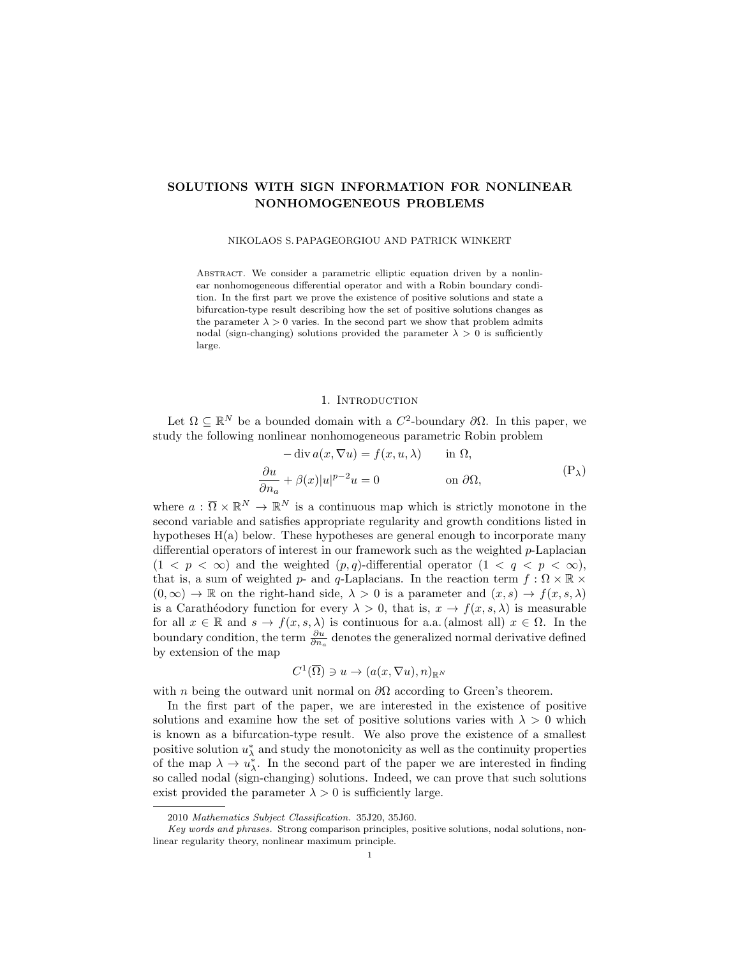# SOLUTIONS WITH SIGN INFORMATION FOR NONLINEAR NONHOMOGENEOUS PROBLEMS

#### NIKOLAOS S. PAPAGEORGIOU AND PATRICK WINKERT

ABSTRACT. We consider a parametric elliptic equation driven by a nonlinear nonhomogeneous differential operator and with a Robin boundary condition. In the first part we prove the existence of positive solutions and state a bifurcation-type result describing how the set of positive solutions changes as the parameter  $\lambda > 0$  varies. In the second part we show that problem admits nodal (sign-changing) solutions provided the parameter  $\lambda > 0$  is sufficiently large.

## <span id="page-0-0"></span>1. INTRODUCTION

Let  $\Omega \subseteq \mathbb{R}^N$  be a bounded domain with a  $C^2$ -boundary  $\partial\Omega$ . In this paper, we study the following nonlinear nonhomogeneous parametric Robin problem

$$
-\operatorname{div} a(x, \nabla u) = f(x, u, \lambda) \quad \text{in } \Omega,
$$
  

$$
\frac{\partial u}{\partial n_a} + \beta(x)|u|^{p-2}u = 0 \quad \text{on } \partial\Omega,
$$
 (P<sub>\lambda</sub>)

where  $a: \overline{\Omega} \times \mathbb{R}^N \to \mathbb{R}^N$  is a continuous map which is strictly monotone in the second variable and satisfies appropriate regularity and growth conditions listed in hypotheses  $H(a)$  below. These hypotheses are general enough to incorporate many differential operators of interest in our framework such as the weighted p-Laplacian  $(1 < p < \infty)$  and the weighted  $(p,q)$ -differential operator  $(1 < q < p < \infty)$ , that is, a sum of weighted p- and q-Laplacians. In the reaction term  $f : \Omega \times \mathbb{R} \times$  $(0, \infty) \to \mathbb{R}$  on the right-hand side,  $\lambda > 0$  is a parameter and  $(x, s) \to f(x, s, \lambda)$ is a Carathéodory function for every  $\lambda > 0$ , that is,  $x \to f(x, s, \lambda)$  is measurable for all  $x \in \mathbb{R}$  and  $s \to f(x, s, \lambda)$  is continuous for a.a. (almost all)  $x \in \Omega$ . In the boundary condition, the term  $\frac{\partial u}{\partial n_a}$  denotes the generalized normal derivative defined by extension of the map

$$
C^1(\overline{\Omega}) \ni u \to (a(x,\nabla u),n)_{\mathbb{R}^N}
$$

with *n* being the outward unit normal on  $\partial\Omega$  according to Green's theorem.

In the first part of the paper, we are interested in the existence of positive solutions and examine how the set of positive solutions varies with  $\lambda > 0$  which is known as a bifurcation-type result. We also prove the existence of a smallest positive solution  $u^*_{\lambda}$  and study the monotonicity as well as the continuity properties of the map  $\lambda \to u_{\lambda}^*$ . In the second part of the paper we are interested in finding so called nodal (sign-changing) solutions. Indeed, we can prove that such solutions exist provided the parameter  $\lambda > 0$  is sufficiently large.

<sup>2010</sup> Mathematics Subject Classification. 35J20, 35J60.

Key words and phrases. Strong comparison principles, positive solutions, nodal solutions, nonlinear regularity theory, nonlinear maximum principle.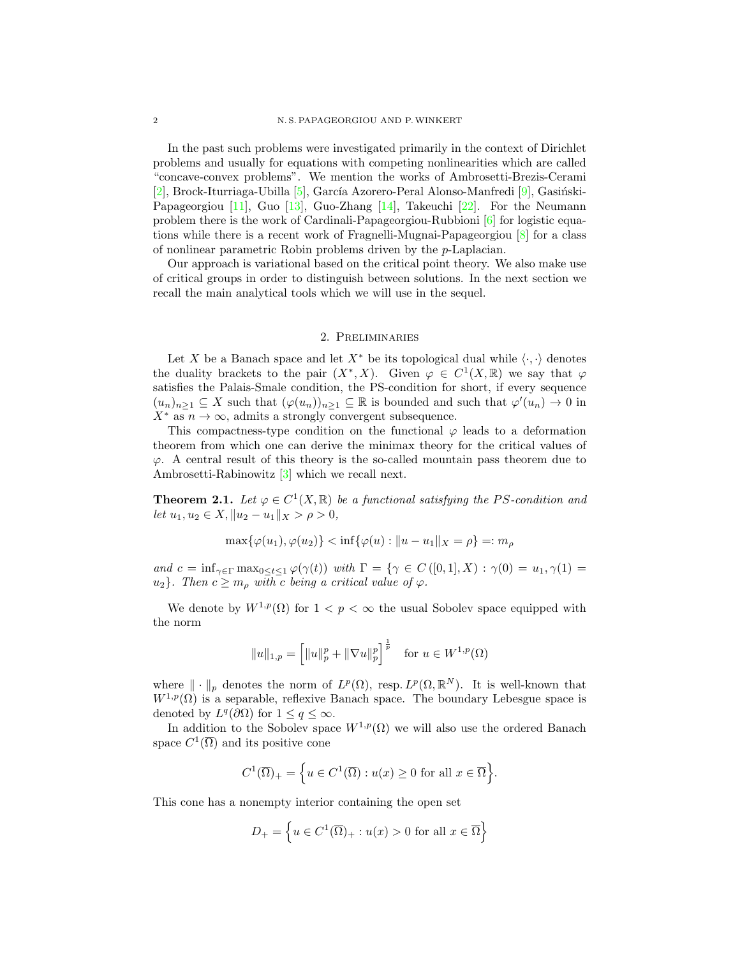In the past such problems were investigated primarily in the context of Dirichlet problems and usually for equations with competing nonlinearities which are called "concave-convex problems". We mention the works of Ambrosetti-Brezis-Cerami  $[2]$ , Brock-Iturriaga-Ubilla  $[5]$ , García Azorero-Peral Alonso-Manfredi  $[9]$ , Gasiński-Papageorgiou [\[11\]](#page-22-3), Guo [\[13\]](#page-23-0), Guo-Zhang [\[14\]](#page-23-1), Takeuchi [\[22\]](#page-23-2). For the Neumann problem there is the work of Cardinali-Papageorgiou-Rubbioni [\[6\]](#page-22-4) for logistic equations while there is a recent work of Fragnelli-Mugnai-Papageorgiou [\[8\]](#page-22-5) for a class of nonlinear parametric Robin problems driven by the p-Laplacian.

Our approach is variational based on the critical point theory. We also make use of critical groups in order to distinguish between solutions. In the next section we recall the main analytical tools which we will use in the sequel.

#### 2. Preliminaries

Let X be a Banach space and let  $X^*$  be its topological dual while  $\langle \cdot, \cdot \rangle$  denotes the duality brackets to the pair  $(X^*, X)$ . Given  $\varphi \in C^1(X, \mathbb{R})$  we say that  $\varphi$ satisfies the Palais-Smale condition, the PS-condition for short, if every sequence  $(u_n)_{n\geq 1}\subseteq X$  such that  $(\varphi(u_n))_{n\geq 1}\subseteq \mathbb{R}$  is bounded and such that  $\varphi'(u_n)\to 0$  in  $X^*$  as  $n \to \infty$ , admits a strongly convergent subsequence.

This compactness-type condition on the functional  $\varphi$  leads to a deformation theorem from which one can derive the minimax theory for the critical values of  $\varphi$ . A central result of this theory is the so-called mountain pass theorem due to Ambrosetti-Rabinowitz [\[3\]](#page-22-6) which we recall next.

<span id="page-1-0"></span>**Theorem 2.1.** Let  $\varphi \in C^1(X,\mathbb{R})$  be a functional satisfying the PS-condition and let  $u_1, u_2 \in X, \|u_2 - u_1\|_X > \rho > 0,$ 

$$
\max{\{\varphi(u_1), \varphi(u_2)\}} < \inf{\{\varphi(u) : \|u - u_1\|_X = \rho\}} =: m_\rho
$$

and  $c = \inf_{\gamma \in \Gamma} \max_{0 \le t \le 1} \varphi(\gamma(t))$  with  $\Gamma = \{ \gamma \in C([0,1], X) : \gamma(0) = u_1, \gamma(1) =$  $u_2$ . Then  $c \geq m_\rho$  with c being a critical value of  $\varphi$ .

We denote by  $W^{1,p}(\Omega)$  for  $1 < p < \infty$  the usual Sobolev space equipped with the norm

$$
||u||_{1,p} = \left[||u||_p^p + ||\nabla u||_p^p\right]^{\frac{1}{p}}
$$
 for  $u \in W^{1,p}(\Omega)$ 

where  $\|\cdot\|_p$  denotes the norm of  $L^p(\Omega)$ , resp.  $L^p(\Omega,\mathbb{R}^N)$ . It is well-known that  $W^{1,p}(\Omega)$  is a separable, reflexive Banach space. The boundary Lebesgue space is denoted by  $L^q(\partial\Omega)$  for  $1 \leq q \leq \infty$ .

In addition to the Sobolev space  $W^{1,p}(\Omega)$  we will also use the ordered Banach space  $C^1(\overline{\Omega})$  and its positive cone

$$
C^{1}(\overline{\Omega})_{+} = \Big\{ u \in C^{1}(\overline{\Omega}) : u(x) \ge 0 \text{ for all } x \in \overline{\Omega} \Big\}.
$$

This cone has a nonempty interior containing the open set

$$
D_{+} = \left\{ u \in C^{1}(\overline{\Omega})_{+} : u(x) > 0 \text{ for all } x \in \overline{\Omega} \right\}
$$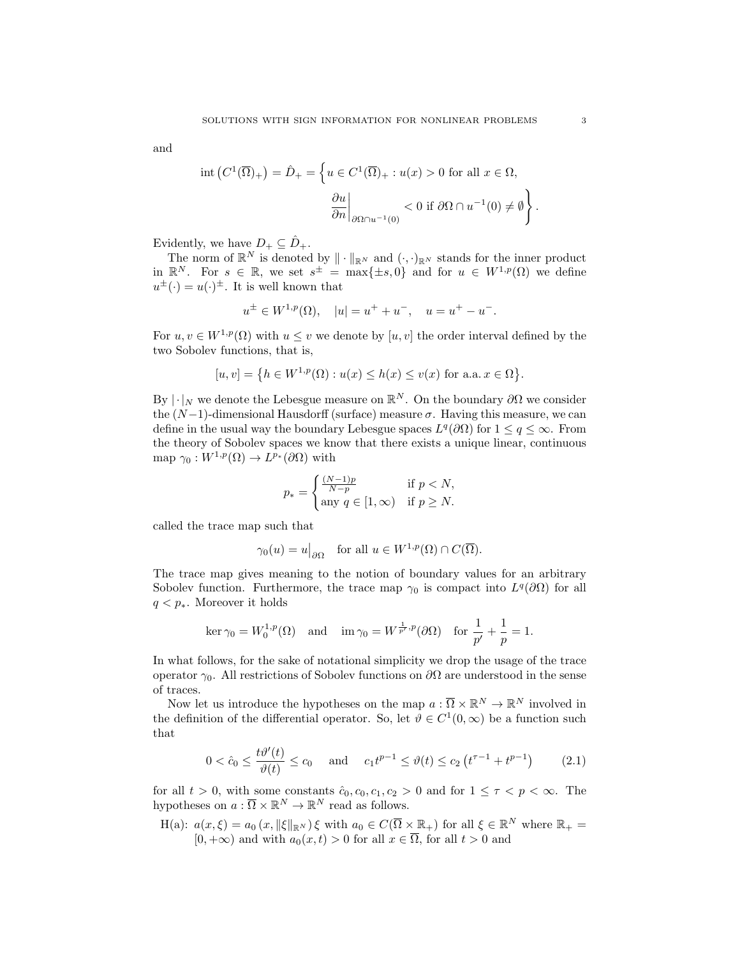and

$$
\text{int}\left(C^1(\overline{\Omega})_+\right) = \hat{D}_+ = \left\{ u \in C^1(\overline{\Omega})_+ : u(x) > 0 \text{ for all } x \in \Omega, \right\}
$$

$$
\frac{\partial u}{\partial n}\Big|_{\partial\Omega \cap u^{-1}(0)} < 0 \text{ if } \partial\Omega \cap u^{-1}(0) \neq \emptyset \right\}.
$$

Evidently, we have  $D_+ \subseteq \hat{D}_+$ .

The norm of  $\mathbb{R}^N$  is denoted by  $\|\cdot\|_{\mathbb{R}^N}$  and  $(\cdot, \cdot)_{\mathbb{R}^N}$  stands for the inner product in  $\mathbb{R}^N$ . For  $s \in \mathbb{R}$ , we set  $s^{\pm} = \max\{\pm s, 0\}$  and for  $u \in W^{1,p}(\Omega)$  we define  $u^{\pm}(\cdot) = u(\cdot)^{\pm}$ . It is well known that

$$
u^{\pm} \in W^{1,p}(\Omega), \quad |u| = u^{+} + u^{-}, \quad u = u^{+} - u^{-}.
$$

For  $u, v \in W^{1,p}(\Omega)$  with  $u \leq v$  we denote by  $[u, v]$  the order interval defined by the two Sobolev functions, that is,

$$
[u, v] = \{ h \in W^{1, p}(\Omega) : u(x) \le h(x) \le v(x) \text{ for a.a. } x \in \Omega \}.
$$

By  $|\cdot|_N$  we denote the Lebesgue measure on  $\mathbb{R}^N$ . On the boundary  $\partial\Omega$  we consider the  $(N-1)$ -dimensional Hausdorff (surface) measure  $\sigma$ . Having this measure, we can define in the usual way the boundary Lebesgue spaces  $L^q(\partial\Omega)$  for  $1 \leq q \leq \infty$ . From the theory of Sobolev spaces we know that there exists a unique linear, continuous map  $\gamma_0: W^{1,p}(\Omega) \to L^{p_*}(\partial\Omega)$  with

$$
p_* = \begin{cases} \frac{(N-1)p}{N-p} & \text{if } p < N, \\ \text{any } q \in [1, \infty) & \text{if } p \ge N. \end{cases}
$$

called the trace map such that

$$
\gamma_0(u) = u|_{\partial\Omega}
$$
 for all  $u \in W^{1,p}(\Omega) \cap C(\overline{\Omega})$ .

The trace map gives meaning to the notion of boundary values for an arbitrary Sobolev function. Furthermore, the trace map  $\gamma_0$  is compact into  $L^q(\partial\Omega)$  for all  $q < p_*$ . Moreover it holds

$$
\ker \gamma_0 = W_0^{1,p}(\Omega) \quad \text{and} \quad \lim \gamma_0 = W^{\frac{1}{p'},p}(\partial \Omega) \quad \text{for } \frac{1}{p'} + \frac{1}{p} = 1.
$$

In what follows, for the sake of notational simplicity we drop the usage of the trace operator  $\gamma_0$ . All restrictions of Sobolev functions on  $\partial\Omega$  are understood in the sense of traces.

Now let us introduce the hypotheses on the map  $a: \overline{\Omega} \times \mathbb{R}^N \to \mathbb{R}^N$  involved in the definition of the differential operator. So, let  $\theta \in C^1(0,\infty)$  be a function such that

<span id="page-2-0"></span>
$$
0 < \hat{c}_0 \le \frac{t\vartheta'(t)}{\vartheta(t)} \le c_0 \quad \text{and} \quad c_1 t^{p-1} \le \vartheta(t) \le c_2 \left( t^{\tau - 1} + t^{p-1} \right) \tag{2.1}
$$

for all  $t > 0$ , with some constants  $\hat{c}_0, c_0, c_1, c_2 > 0$  and for  $1 \leq \tau < p < \infty$ . The hypotheses on  $a: \overline{\Omega} \times \mathbb{R}^N \to \mathbb{R}^N$  read as follows.

H(a):  $a(x,\xi) = a_0(x, \|\xi\|_{\mathbb{R}^N})\xi$  with  $a_0 \in C(\overline{\Omega} \times \mathbb{R}_+)$  for all  $\xi \in \mathbb{R}^N$  where  $\mathbb{R}_+$  $[0, +\infty)$  and with  $a_0(x, t) > 0$  for all  $x \in \overline{\Omega}$ , for all  $t > 0$  and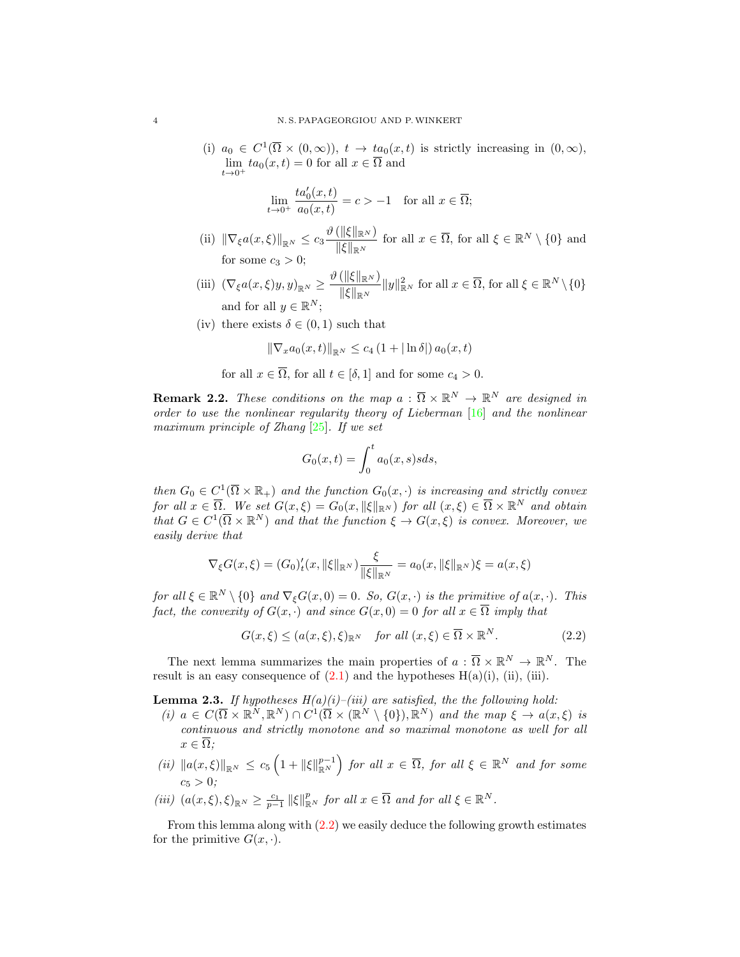(i)  $a_0 \in C^1(\overline{\Omega} \times (0,\infty))$ ,  $t \to ta_0(x,t)$  is strictly increasing in  $(0,\infty)$ ,  $\lim_{t\to 0^+} ta_0(x,t) = 0$  for all  $x \in \overline{\Omega}$  and

$$
\lim_{t \to 0^+} \frac{ta'_0(x,t)}{a_0(x,t)} = c > -1 \quad \text{for all } x \in \overline{\Omega};
$$

- (ii)  $\|\nabla_{\xi}a(x,\xi)\|_{\mathbb{R}^N} \leq c_3 \frac{\vartheta(\|\xi\|_{\mathbb{R}^N})}{\|\xi\|}$  $\frac{(\|\zeta\|_{\mathbb{R}^N})}{\|\zeta\|_{\mathbb{R}^N}}$  for all  $x \in \overline{\Omega}$ , for all  $\xi \in \mathbb{R}^N \setminus \{0\}$  and for some  $c_3 > 0$ ;
- (iii)  $(\nabla_{\xi}a(x,\xi)y,y)_{\mathbb{R}^N}\geq \frac{\vartheta(\|\xi\|_{\mathbb{R}^N})}{\|\xi\|_{\mathbb{R}^N}}$  $\frac{\langle ||\xi||_{\mathbb{R}^N}}{\|\xi\|_{\mathbb{R}^N}} ||y||_{\mathbb{R}^N}^2$  for all  $x \in \overline{\Omega}$ , for all  $\xi \in \mathbb{R}^N \setminus \{0\}$ and for all  $y \in \mathbb{R}^N$ ;
- (iv) there exists  $\delta \in (0,1)$  such that

$$
\|\nabla_x a_0(x,t)\|_{\mathbb{R}^N} \le c_4 (1+|\ln \delta|) a_0(x,t)
$$

for all  $x \in \overline{\Omega}$ , for all  $t \in [\delta, 1]$  and for some  $c_4 > 0$ .

**Remark 2.2.** These conditions on the map  $a : \overline{\Omega} \times \mathbb{R}^N \to \mathbb{R}^N$  are designed in order to use the nonlinear regularity theory of Lieberman [\[16\]](#page-23-3) and the nonlinear maximum principle of Zhang [\[25\]](#page-23-4). If we set

<span id="page-3-0"></span>
$$
G_0(x,t) = \int_0^t a_0(x,s)sds,
$$

then  $G_0 \in C^1(\overline{\Omega} \times \mathbb{R}_+)$  and the function  $G_0(x, \cdot)$  is increasing and strictly convex for all  $x \in \overline{\Omega}$ . We set  $G(x,\xi) = G_0(x, \|\xi\|_{\mathbb{R}^N})$  for all  $(x,\xi) \in \overline{\Omega} \times \mathbb{R}^N$  and obtain that  $G \in C^1(\overline{\Omega} \times \mathbb{R}^N)$  and that the function  $\xi \to G(x,\xi)$  is convex. Moreover, we easily derive that

$$
\nabla_{\xi} G(x,\xi) = (G_0)'_t(x,\|\xi\|_{\mathbb{R}^N}) \frac{\xi}{\|\xi\|_{\mathbb{R}^N}} = a_0(x,\|\xi\|_{\mathbb{R}^N})\xi = a(x,\xi)
$$

for all  $\xi \in \mathbb{R}^N \setminus \{0\}$  and  $\nabla_{\xi} G(x, 0) = 0$ . So,  $G(x, \cdot)$  is the primitive of  $a(x, \cdot)$ . This fact, the convexity of  $G(x, \cdot)$  and since  $G(x, 0) = 0$  for all  $x \in \overline{\Omega}$  imply that

$$
G(x,\xi) \le (a(x,\xi),\xi)_{\mathbb{R}^N} \quad \text{for all } (x,\xi) \in \overline{\Omega} \times \mathbb{R}^N. \tag{2.2}
$$

The next lemma summarizes the main properties of  $a: \overline{\Omega} \times \mathbb{R}^N \to \mathbb{R}^N$ . The result is an easy consequence of  $(2.1)$  and the hypotheses  $H(a)(i)$ , (ii), (iii).

<span id="page-3-1"></span>**Lemma 2.3.** If hypotheses  $H(a)(i)$ –(iii) are satisfied, the the following hold:

- (i)  $a \in C(\overline{\Omega} \times \mathbb{R}^N, \mathbb{R}^N) \cap C^1(\overline{\Omega} \times (\mathbb{R}^N \setminus \{0\}), \mathbb{R}^N)$  and the map  $\xi \to a(x, \xi)$  is continuous and strictly monotone and so maximal monotone as well for all  $x \in \overline{\Omega}$ :
- $\|u\|_{\mathbb{R}^N}\leq c_5\left(1+\|\xi\|_{\mathbb{R}^N}^{p-1}\right)$  for all  $x\in\overline{\Omega}$ , for all  $\xi\in\mathbb{R}^N$  and for some  $c_5 > 0;$
- (iii)  $(a(x,\xi),\xi)_{\mathbb{R}^N}\geq \frac{c_1}{p-1}\|\xi\|_{\mathbb{R}^N}^p$  for all  $x\in\overline{\Omega}$  and for all  $\xi\in\mathbb{R}^N$ .

From this lemma along with [\(2.2\)](#page-3-0) we easily deduce the following growth estimates for the primitive  $G(x, \cdot)$ .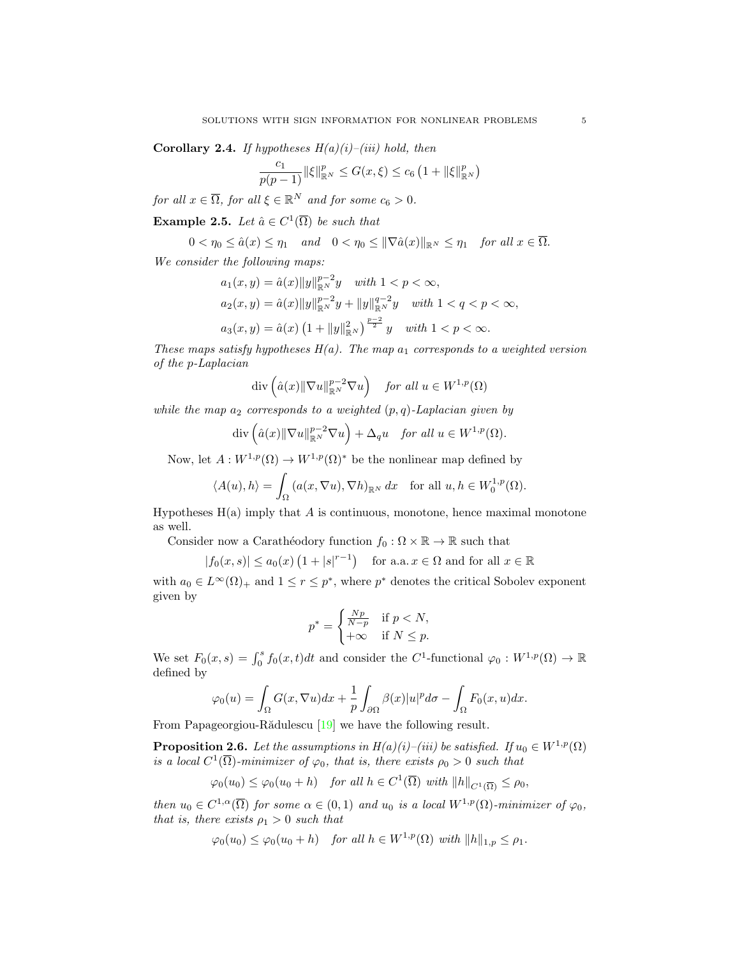<span id="page-4-0"></span>Corollary 2.4. If hypotheses  $H(a)(i)$ –(iii) hold, then

$$
\frac{c_1}{p(p-1)} ||\xi||_{\mathbb{R}^N}^p \le G(x,\xi) \le c_6 \left(1 + ||\xi||_{\mathbb{R}^N}^p\right)
$$

for all  $x \in \overline{\Omega}$ , for all  $\xi \in \mathbb{R}^N$  and for some  $c_6 > 0$ .

**Example 2.5.** Let  $\hat{a} \in C^1(\overline{\Omega})$  be such that

$$
0<\eta_0\leq \hat{a}(x)\leq \eta_1 \quad \text{and} \quad 0<\eta_0\leq \|\nabla \hat{a}(x)\|_{\mathbb{R}^N}\leq \eta_1 \quad \text{for all } x\in \overline{\Omega}.
$$

We consider the following maps:

$$
a_1(x, y) = \hat{a}(x) \|y\|_{\mathbb{R}^N}^{p-2} y \quad with \ 1 < p < \infty,
$$
\n
$$
a_2(x, y) = \hat{a}(x) \|y\|_{\mathbb{R}^N}^{p-2} y + \|y\|_{\mathbb{R}^N}^{q-2} y \quad with \ 1 < q < p < \infty,
$$
\n
$$
a_3(x, y) = \hat{a}(x) \left(1 + \|y\|_{\mathbb{R}^N}^2\right)^{\frac{p-2}{2}} y \quad with \ 1 < p < \infty.
$$

These maps satisfy hypotheses  $H(a)$ . The map  $a_1$  corresponds to a weighted version of the p-Laplacian

$$
\operatorname{div}\left(\hat{a}(x)\|\nabla u\|_{\mathbb{R}^N}^{p-2}\nabla u\right) \quad \text{for all } u \in W^{1,p}(\Omega)
$$

while the map  $a_2$  corresponds to a weighted  $(p, q)$ -Laplacian given by

$$
\operatorname{div}\left(\hat{a}(x)\|\nabla u\|_{\mathbb{R}^N}^{p-2}\nabla u\right) + \Delta_q u \quad \text{for all } u \in W^{1,p}(\Omega).
$$

Now, let  $A: W^{1,p}(\Omega) \to W^{1,p}(\Omega)^*$  be the nonlinear map defined by

$$
\langle A(u), h \rangle = \int_{\Omega} \left( a(x, \nabla u), \nabla h \right)_{\mathbb{R}^N} dx \quad \text{for all } u, h \in W_0^{1, p}(\Omega).
$$

Hypotheses  $H(a)$  imply that A is continuous, monotone, hence maximal monotone as well.

Consider now a Carathéodory function  $f_0 : \Omega \times \mathbb{R} \to \mathbb{R}$  such that

$$
|f_0(x, s)| \le a_0(x) \left(1 + |s|^{r-1}\right)
$$
 for a.a.  $x \in \Omega$  and for all  $x \in \mathbb{R}$ 

with  $a_0 \in L^{\infty}(\Omega)$  and  $1 \le r \le p^*$ , where  $p^*$  denotes the critical Sobolev exponent given by

$$
p^* = \begin{cases} \frac{Np}{N-p} & \text{if } p < N, \\ +\infty & \text{if } N \le p. \end{cases}
$$

We set  $F_0(x, s) = \int_0^s f_0(x, t)dt$  and consider the C<sup>1</sup>-functional  $\varphi_0: W^{1, p}(\Omega) \to \mathbb{R}$ defined by

$$
\varphi_0(u) = \int_{\Omega} G(x, \nabla u) dx + \frac{1}{p} \int_{\partial \Omega} \beta(x) |u|^p d\sigma - \int_{\Omega} F_0(x, u) dx.
$$

From Papageorgiou-Rădulescu  $[19]$  we have the following result.

<span id="page-4-1"></span>**Proposition 2.6.** Let the assumptions in  $H(a)(i)$ –(iii) be satisfied. If  $u_0 \in W^{1,p}(\Omega)$ is a local  $C^1(\overline{\Omega})$ -minimizer of  $\varphi_0$ , that is, there exists  $\rho_0 > 0$  such that

$$
\varphi_0(u_0) \le \varphi_0(u_0 + h) \quad \text{for all } h \in C^1(\overline{\Omega}) \text{ with } ||h||_{C^1(\overline{\Omega})} \le \rho_0,
$$

then  $u_0 \in C^{1,\alpha}(\overline{\Omega})$  for some  $\alpha \in (0,1)$  and  $u_0$  is a local  $W^{1,p}(\Omega)$ -minimizer of  $\varphi_0$ , that is, there exists  $\rho_1 > 0$  such that

$$
\varphi_0(u_0) \leq \varphi_0(u_0 + h) \quad \text{for all } h \in W^{1,p}(\Omega) \text{ with } ||h||_{1,p} \leq \rho_1.
$$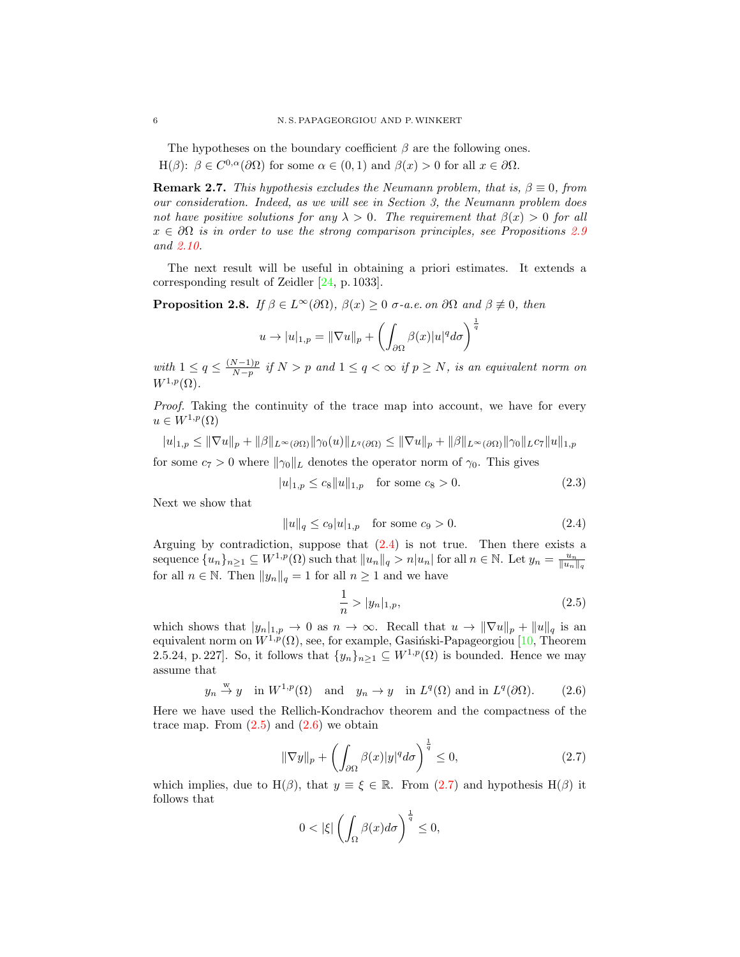The hypotheses on the boundary coefficient  $\beta$  are the following ones. H( $\beta$ ):  $\beta \in C^{0,\alpha}(\partial\Omega)$  for some  $\alpha \in (0,1)$  and  $\beta(x) > 0$  for all  $x \in \partial\Omega$ .

**Remark 2.7.** This hypothesis excludes the Neumann problem, that is,  $\beta \equiv 0$ , from our consideration. Indeed, as we will see in Section 3, the Neumann problem does not have positive solutions for any  $\lambda > 0$ . The requirement that  $\beta(x) > 0$  for all  $x \in \partial\Omega$  is in order to use the strong comparison principles, see Propositions [2.9](#page-6-0) and [2.10.](#page-6-1)

The next result will be useful in obtaining a priori estimates. It extends a corresponding result of Zeidler [\[24,](#page-23-6) p. 1033].

<span id="page-5-5"></span>**Proposition 2.8.** If  $\beta \in L^{\infty}(\partial \Omega)$ ,  $\beta(x) \geq 0$   $\sigma$ -a.e. on  $\partial \Omega$  and  $\beta \not\equiv 0$ , then

$$
u \to |u|_{1,p} = \|\nabla u\|_p + \left(\int_{\partial\Omega} \beta(x)|u|^q d\sigma\right)^{\frac{1}{q}}
$$

with  $1 \leq q \leq \frac{(N-1)p}{N-p}$  $\frac{N-1)p}{N-p}$  if  $N>p$  and  $1\leq q<\infty$  if  $p\geq N$ , is an equivalent norm on  $W^{1,p}(\Omega)$ .

Proof. Taking the continuity of the trace map into account, we have for every  $u \in W^{1,p}(\Omega)$ 

$$
|u|_{1,p} \leq \|\nabla u\|_p + \|\beta\|_{L^\infty(\partial\Omega)} \|\gamma_0(u)\|_{L^q(\partial\Omega)} \leq \|\nabla u\|_p + \|\beta\|_{L^\infty(\partial\Omega)} \|\gamma_0\|_{L^r} \|u\|_{1,p}
$$

for some  $c_7 > 0$  where  $\|\gamma_0\|_L$  denotes the operator norm of  $\gamma_0$ . This gives

$$
|u|_{1,p} \le c_8 \|u\|_{1,p} \quad \text{for some } c_8 > 0. \tag{2.3}
$$

Next we show that

$$
||u||_q \le c_9 |u|_{1,p} \quad \text{for some } c_9 > 0. \tag{2.4}
$$

Arguing by contradiction, suppose that  $(2.4)$  is not true. Then there exists a sequence  ${u_n}_{n \geq 1} \subseteq W^{1,p}(\Omega)$  such that  $||u_n||_q > n|u_n|$  for all  $n \in \mathbb{N}$ . Let  $y_n = \frac{u_n}{||u_n||_q}$ for all  $n \in \mathbb{N}$ . Then  $||y_n||_q = 1$  for all  $n \ge 1$  and we have

<span id="page-5-4"></span><span id="page-5-2"></span><span id="page-5-1"></span><span id="page-5-0"></span>
$$
\frac{1}{n} > |y_n|_{1,p},\tag{2.5}
$$

which shows that  $|y_n|_{1,p} \to 0$  as  $n \to \infty$ . Recall that  $u \to \|\nabla u\|_p + \|u\|_q$  is an equivalent norm on  $W^{1,p}(\Omega)$ , see, for example, Gasiński-Papageorgiou [\[10,](#page-22-7) Theorem 2.5.24, p. 227]. So, it follows that  $\{y_n\}_{n\geq 1} \subseteq W^{1,p}(\Omega)$  is bounded. Hence we may assume that

$$
y_n \stackrel{w}{\to} y
$$
 in  $W^{1,p}(\Omega)$  and  $y_n \to y$  in  $L^q(\Omega)$  and in  $L^q(\partial\Omega)$ . (2.6)

Here we have used the Rellich-Kondrachov theorem and the compactness of the trace map. From  $(2.5)$  and  $(2.6)$  we obtain

$$
\|\nabla y\|_{p} + \left(\int_{\partial\Omega} \beta(x)|y|^{q} d\sigma\right)^{\frac{1}{q}} \leq 0, \tag{2.7}
$$

which implies, due to H( $\beta$ ), that  $y \equiv \xi \in \mathbb{R}$ . From [\(2.7\)](#page-5-3) and hypothesis H( $\beta$ ) it follows that

<span id="page-5-3"></span>
$$
0 < |\xi| \left( \int_{\Omega} \beta(x) d\sigma \right)^{\frac{1}{q}} \leq 0,
$$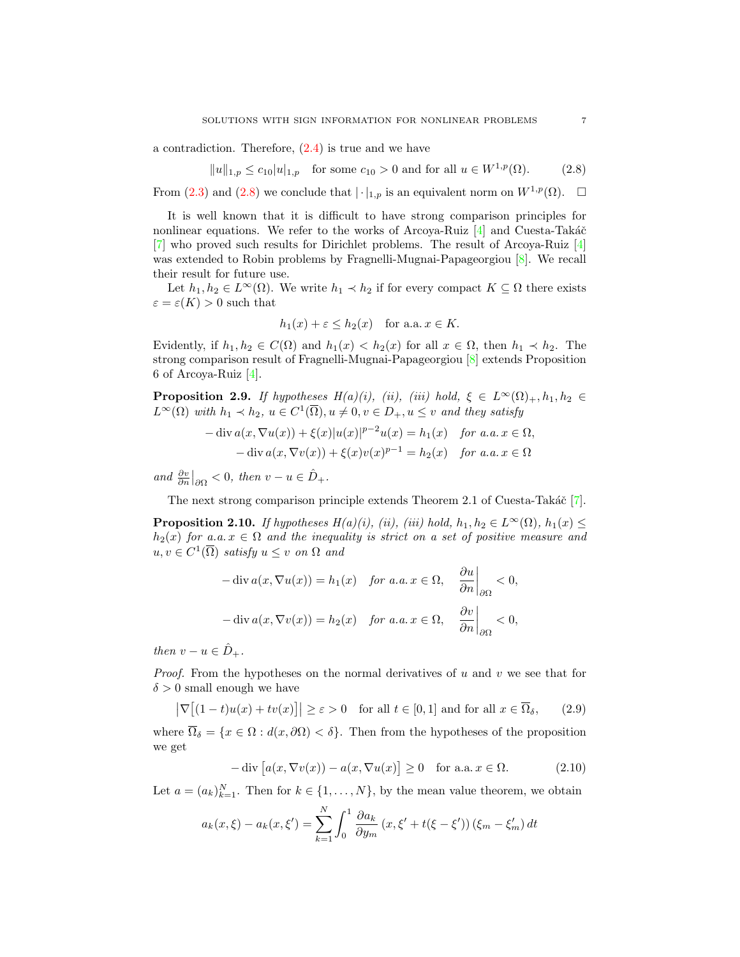a contradiction. Therefore, [\(2.4\)](#page-5-0) is true and we have

$$
||u||_{1,p} \le c_{10} |u|_{1,p}
$$
 for some  $c_{10} > 0$  and for all  $u \in W^{1,p}(\Omega)$ . (2.8)

From [\(2.3\)](#page-5-4) and [\(2.8\)](#page-6-2) we conclude that  $|\cdot|_{1,p}$  is an equivalent norm on  $W^{1,p}(\Omega)$ .  $\square$ 

It is well known that it is difficult to have strong comparison principles for nonlinear equations. We refer to the works of Arcoya-Ruiz  $[4]$  and Cuesta-Takáč [\[7\]](#page-22-9) who proved such results for Dirichlet problems. The result of Arcoya-Ruiz [\[4\]](#page-22-8) was extended to Robin problems by Fragnelli-Mugnai-Papageorgiou [\[8\]](#page-22-5). We recall their result for future use.

Let  $h_1, h_2 \in L^{\infty}(\Omega)$ . We write  $h_1 \prec h_2$  if for every compact  $K \subseteq \Omega$  there exists  $\varepsilon = \varepsilon(K) > 0$  such that

<span id="page-6-2"></span>
$$
h_1(x) + \varepsilon \le h_2(x)
$$
 for a.a.  $x \in K$ .

Evidently, if  $h_1, h_2 \in C(\Omega)$  and  $h_1(x) < h_2(x)$  for all  $x \in \Omega$ , then  $h_1 \prec h_2$ . The strong comparison result of Fragnelli-Mugnai-Papageorgiou [\[8\]](#page-22-5) extends Proposition 6 of Arcoya-Ruiz [\[4\]](#page-22-8).

<span id="page-6-0"></span>**Proposition 2.9.** If hypotheses  $H(a)(i)$ , (ii), (iii) hold,  $\xi \in L^{\infty}(\Omega)_{+}$ ,  $h_1, h_2 \in$  $L^{\infty}(\Omega)$  with  $h_1 \prec h_2$ ,  $u \in C^1(\overline{\Omega}), u \neq 0, v \in D_+, u \leq v$  and they satisfy

$$
-\operatorname{div} a(x, \nabla u(x)) + \xi(x)|u(x)|^{p-2}u(x) = h_1(x) \quad \text{for a.a. } x \in \Omega,
$$
  

$$
-\operatorname{div} a(x, \nabla v(x)) + \xi(x)v(x)^{p-1} = h_2(x) \quad \text{for a.a. } x \in \Omega
$$

and  $\frac{\partial v}{\partial n}\big|_{\partial\Omega} < 0$ , then  $v - u \in \hat{D}_+$ .

The next strong comparison principle extends Theorem 2.1 of Cuesta-Takáč  $[7]$ .

<span id="page-6-1"></span>**Proposition 2.10.** If hypotheses  $H(a)(i)$ , (ii), (iii) hold,  $h_1, h_2 \in L^{\infty}(\Omega)$ ,  $h_1(x) \leq$  $h_2(x)$  for a.a.  $x \in \Omega$  and the inequality is strict on a set of positive measure and  $u, v \in C^1(\overline{\Omega})$  satisfy  $u \leq v$  on  $\Omega$  and

$$
-\operatorname{div} a(x, \nabla u(x)) = h_1(x) \quad \text{for a.a. } x \in \Omega, \quad \left. \frac{\partial u}{\partial n} \right|_{\partial \Omega} < 0,
$$
\n
$$
-\operatorname{div} a(x, \nabla v(x)) = h_2(x) \quad \text{for a.a. } x \in \Omega, \quad \left. \frac{\partial v}{\partial n} \right|_{\partial \Omega} < 0,
$$

then  $v - u \in \hat{D}_+$ .

*Proof.* From the hypotheses on the normal derivatives of u and v we see that for  $\delta > 0$  small enough we have

$$
\left|\nabla\big[(1-t)u(x)+tv(x)\big]\right| \ge \varepsilon > 0 \quad \text{for all } t \in [0,1] \text{ and for all } x \in \overline{\Omega}_{\delta},\qquad(2.9)
$$

where  $\overline{\Omega}_{\delta} = \{x \in \Omega : d(x, \partial \Omega) < \delta\}$ . Then from the hypotheses of the proposition we get

<span id="page-6-4"></span><span id="page-6-3"></span>
$$
-\operatorname{div}\left[a(x,\nabla v(x)) - a(x,\nabla u(x)\right] \ge 0 \quad \text{for a.a. } x \in \Omega. \tag{2.10}
$$

Let  $a = (a_k)_{k=1}^N$ . Then for  $k \in \{1, ..., N\}$ , by the mean value theorem, we obtain

$$
a_k(x,\xi) - a_k(x,\xi') = \sum_{k=1}^N \int_0^1 \frac{\partial a_k}{\partial y_m} (x,\xi' + t(\xi - \xi')) (\xi_m - \xi'_m) dt
$$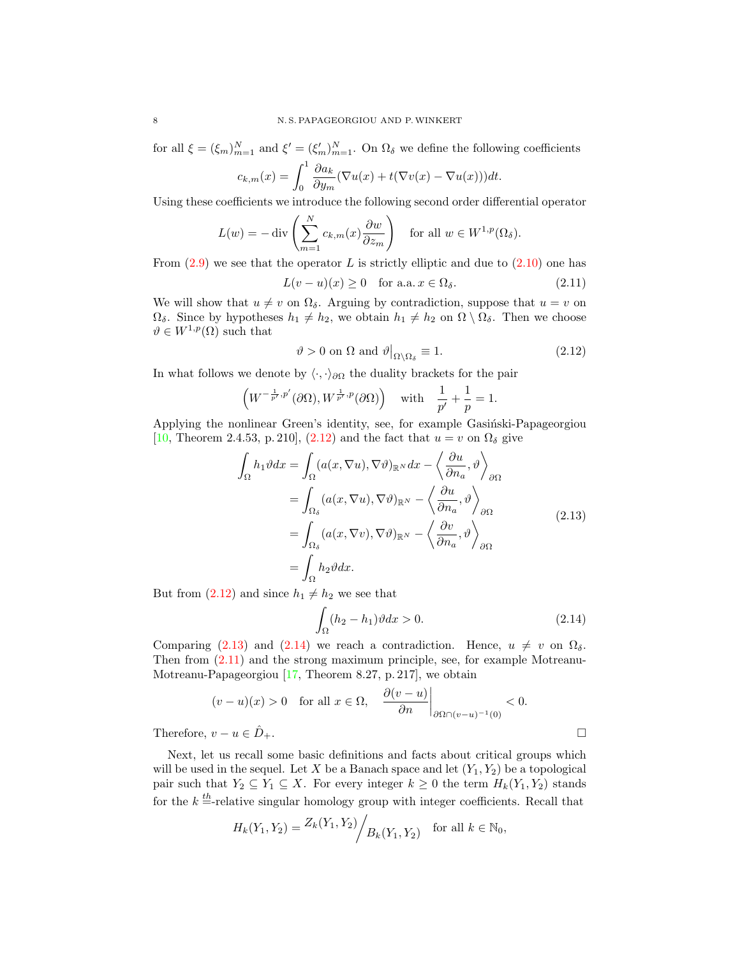for all  $\xi = (\xi_m)_{m=1}^N$  and  $\xi' = (\xi'_m)_{m=1}^N$ . On  $\Omega_\delta$  we define the following coefficients

$$
c_{k,m}(x) = \int_0^1 \frac{\partial a_k}{\partial y_m} (\nabla u(x) + t(\nabla v(x) - \nabla u(x))) dt.
$$

Using these coefficients we introduce the following second order differential operator

$$
L(w) = -\operatorname{div}\left(\sum_{m=1}^{N} c_{k,m}(x) \frac{\partial w}{\partial z_m}\right) \quad \text{for all } w \in W^{1,p}(\Omega_\delta).
$$

From  $(2.9)$  we see that the operator L is strictly elliptic and due to  $(2.10)$  one has

$$
L(v - u)(x) \ge 0 \quad \text{for a.a. } x \in \Omega_{\delta}.\tag{2.11}
$$

We will show that  $u \neq v$  on  $\Omega_{\delta}$ . Arguing by contradiction, suppose that  $u = v$  on  $\Omega_{\delta}$ . Since by hypotheses  $h_1 \neq h_2$ , we obtain  $h_1 \neq h_2$  on  $\Omega \setminus \Omega_{\delta}$ . Then we choose  $\vartheta \in W^{1,p}(\Omega)$  such that

<span id="page-7-3"></span><span id="page-7-0"></span>
$$
\vartheta > 0 \text{ on } \Omega \text{ and } \vartheta\big|_{\Omega \setminus \Omega_{\delta}} \equiv 1. \tag{2.12}
$$

In what follows we denote by  $\langle \cdot, \cdot \rangle_{\partial \Omega}$  the duality brackets for the pair

$$
\left(W^{-\frac{1}{p'},p'}(\partial\Omega),W^{\frac{1}{p'},p}(\partial\Omega)\right) \quad \text{with} \quad \frac{1}{p'}+\frac{1}{p}=1.
$$

Applying the nonlinear Green's identity, see, for example Gasinski-Papageorgiou [\[10,](#page-22-7) Theorem 2.4.53, p. 210], [\(2.12\)](#page-7-0) and the fact that  $u = v$  on  $\Omega_{\delta}$  give

$$
\int_{\Omega} h_1 \vartheta dx = \int_{\Omega} (a(x, \nabla u), \nabla \vartheta)_{\mathbb{R}^N} dx - \left\langle \frac{\partial u}{\partial n_a}, \vartheta \right\rangle_{\partial \Omega} \n= \int_{\Omega_{\delta}} (a(x, \nabla u), \nabla \vartheta)_{\mathbb{R}^N} - \left\langle \frac{\partial u}{\partial n_a}, \vartheta \right\rangle_{\partial \Omega} \n= \int_{\Omega_{\delta}} (a(x, \nabla v), \nabla \vartheta)_{\mathbb{R}^N} - \left\langle \frac{\partial v}{\partial n_a}, \vartheta \right\rangle_{\partial \Omega} \n= \int_{\Omega} h_2 \vartheta dx.
$$
\n(2.13)

But from  $(2.12)$  and since  $h_1 \neq h_2$  we see that

$$
\int_{\Omega} (h_2 - h_1) \vartheta dx > 0. \tag{2.14}
$$

Comparing [\(2.13\)](#page-7-1) and [\(2.14\)](#page-7-2) we reach a contradiction. Hence,  $u \neq v$  on  $\Omega_{\delta}$ . Then from [\(2.11\)](#page-7-3) and the strong maximum principle, see, for example Motreanu-Motreanu-Papageorgiou [\[17,](#page-23-7) Theorem 8.27, p. 217], we obtain

$$
(v-u)(x) > 0 \quad \text{for all } x \in \Omega, \quad \frac{\partial(v-u)}{\partial n}\bigg|_{\partial\Omega \cap (v-u)^{-1}(0)} < 0.
$$
  
Therefore,  $v-u \in \hat{D}_+$ .

Next, let us recall some basic definitions and facts about critical groups which will be used in the sequel. Let X be a Banach space and let  $(Y_1, Y_2)$  be a topological pair such that  $Y_2 \subseteq Y_1 \subseteq X$ . For every integer  $k \geq 0$  the term  $H_k(Y_1, Y_2)$  stands for the  $k = \text{relative singular homology group with integer coefficients. Recall that}$ 

$$
H_k(Y_1, Y_2) = \frac{Z_k(Y_1, Y_2)}{Z_k(Y_1, Y_2)}
$$
 for all  $k \in \mathbb{N}_0$ ,

<span id="page-7-2"></span><span id="page-7-1"></span>
$$
\sqcup
$$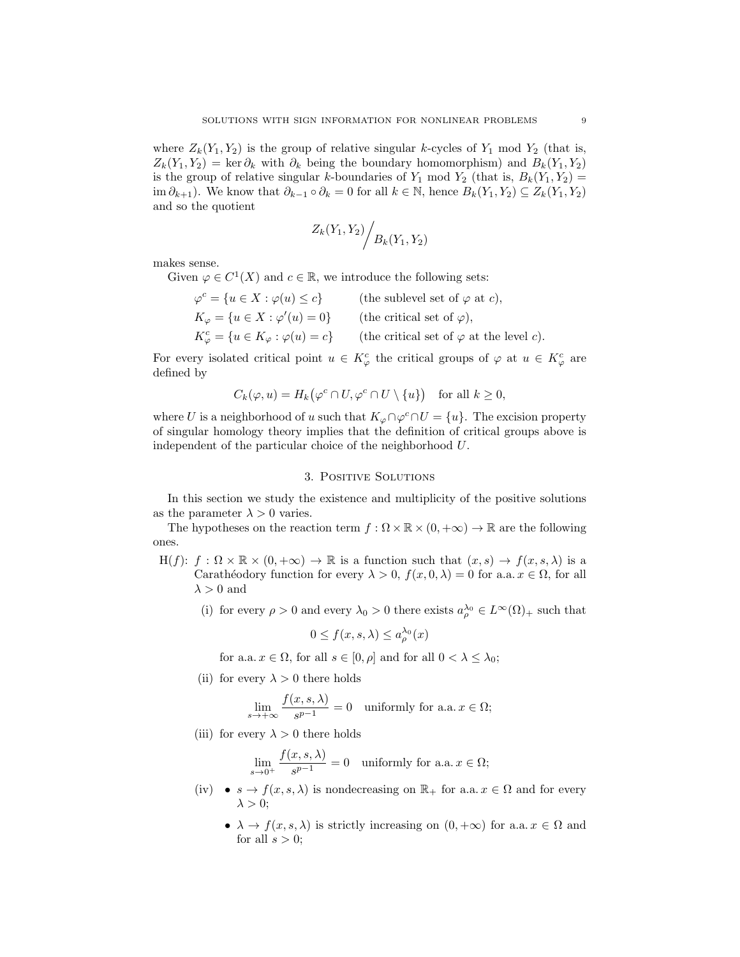where  $Z_k(Y_1, Y_2)$  is the group of relative singular k-cycles of  $Y_1$  mod  $Y_2$  (that is,  $Z_k(Y_1, Y_2) = \ker \partial_k$  with  $\partial_k$  being the boundary homomorphism) and  $B_k(Y_1, Y_2)$ is the group of relative singular k-boundaries of  $Y_1$  mod  $Y_2$  (that is,  $B_k(Y_1, Y_2)$  = im  $\partial_{k+1}$ ). We know that  $\partial_{k-1} \circ \partial_k = 0$  for all  $k \in \mathbb{N}$ , hence  $B_k(Y_1, Y_2) \subseteq Z_k(Y_1, Y_2)$ and so the quotient

$$
Z_k(Y_1, Y_2) / B_k(Y_1, Y_2)
$$

makes sense.

Given  $\varphi \in C^1(X)$  and  $c \in \mathbb{R}$ , we introduce the following sets:

 $\varphi^c = \{u \in X : \varphi(u) \leq c\}$  (the sublevel set of  $\varphi$  at c),  $K_{\varphi} = \{u \in X : \varphi'(u) = 0\}$  (the critical set of  $\varphi$ ),  $K_{\varphi}^{c} = \{u \in K_{\varphi} : \varphi(u) = c\}$  (the critical set of  $\varphi$  at the level c).

For every isolated critical point  $u \in K^c_\varphi$  the critical groups of  $\varphi$  at  $u \in K^c_\varphi$  are defined by

$$
C_k(\varphi, u) = H_k(\varphi^c \cap U, \varphi^c \cap U \setminus \{u\}) \quad \text{for all } k \ge 0,
$$

where U is a neighborhood of u such that  $K_{\varphi} \cap \varphi^c \cap U = \{u\}$ . The excision property of singular homology theory implies that the definition of critical groups above is independent of the particular choice of the neighborhood U.

#### 3. Positive Solutions

In this section we study the existence and multiplicity of the positive solutions as the parameter  $\lambda > 0$  varies.

The hypotheses on the reaction term  $f : \Omega \times \mathbb{R} \times (0, +\infty) \to \mathbb{R}$  are the following ones.

- $H(f): f : \Omega \times \mathbb{R} \times (0, +\infty) \to \mathbb{R}$  is a function such that  $(x, s) \to f(x, s, \lambda)$  is a Carathéodory function for every  $\lambda > 0$ ,  $f(x, 0, \lambda) = 0$  for a.a.  $x \in \Omega$ , for all  $\lambda > 0$  and
	- (i) for every  $\rho > 0$  and every  $\lambda_0 > 0$  there exists  $a_{\rho}^{\lambda_0} \in L^{\infty}(\Omega)_{+}$  such that

$$
0 \le f(x, s, \lambda) \le a^{\lambda_0}_{\rho}(x)
$$

for a.a.  $x \in \Omega$ , for all  $s \in [0, \rho]$  and for all  $0 < \lambda \leq \lambda_0$ ;

(ii) for every  $\lambda > 0$  there holds

$$
\lim_{s \to +\infty} \frac{f(x, s, \lambda)}{s^{p-1}} = 0 \quad \text{uniformly for a.a. } x \in \Omega;
$$

(iii) for every  $\lambda > 0$  there holds

$$
\lim_{s \to 0^+} \frac{f(x, s, \lambda)}{s^{p-1}} = 0 \quad \text{uniformly for a.a. } x \in \Omega;
$$

- (iv)  $s \to f(x, s, \lambda)$  is nondecreasing on  $\mathbb{R}_+$  for a.a.  $x \in \Omega$  and for every  $\lambda > 0;$ 
	- $\lambda \to f(x, s, \lambda)$  is strictly increasing on  $(0, +\infty)$  for a.a.  $x \in \Omega$  and for all  $s > 0$ ;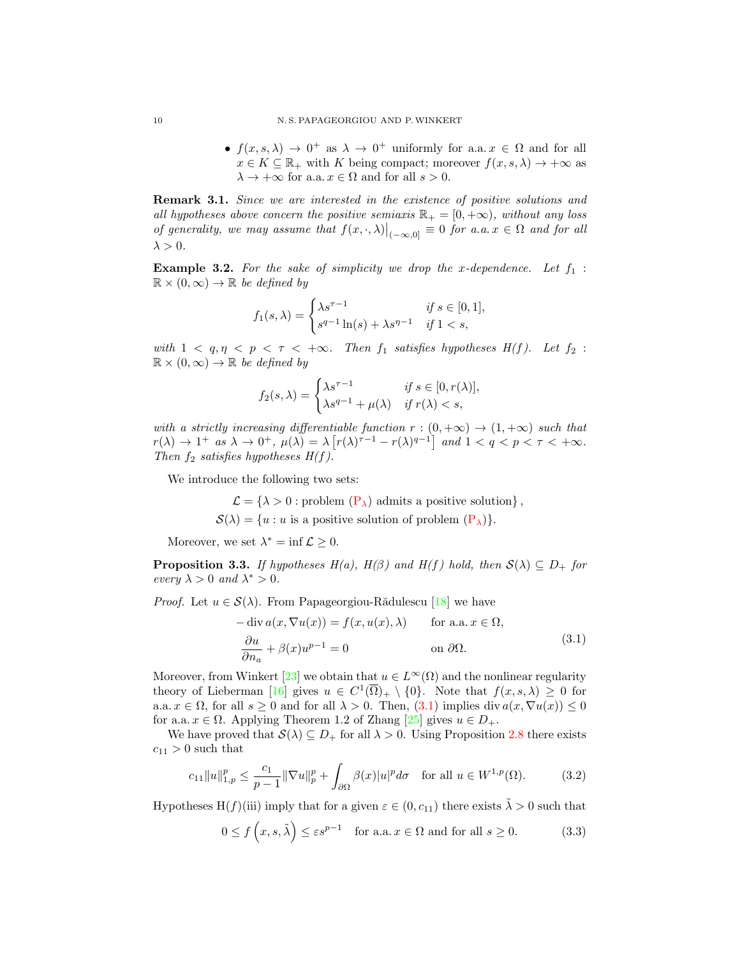•  $f(x, s, \lambda) \to 0^+$  as  $\lambda \to 0^+$  uniformly for a.a.  $x \in \Omega$  and for all  $x \in K \subseteq \mathbb{R}_+$  with K being compact; moreover  $f(x, s, \lambda) \to +\infty$  as  $\lambda \to +\infty$  for a.a.  $x \in \Omega$  and for all  $s > 0$ .

Remark 3.1. Since we are interested in the existence of positive solutions and all hypotheses above concern the positive semiaxis  $\mathbb{R}_+ = [0, +\infty)$ , without any loss of generality, we may assume that  $f(x, \cdot, \lambda)|_{(-\infty,0]} \equiv 0$  for a.a.  $x \in \Omega$  and for all  $\lambda > 0$ .

**Example 3.2.** For the sake of simplicity we drop the x-dependence. Let  $f_1$ :  $\mathbb{R} \times (0,\infty) \to \mathbb{R}$  be defined by

$$
f_1(s,\lambda) = \begin{cases} \lambda s^{\tau - 1} & \text{if } s \in [0, 1], \\ s^{q - 1} \ln(s) + \lambda s^{\eta - 1} & \text{if } 1 < s, \end{cases}
$$

with  $1 < q, \eta < p < \tau < +\infty$ . Then  $f_1$  satisfies hypotheses  $H(f)$ . Let  $f_2$ :  $\mathbb{R} \times (0, \infty) \to \mathbb{R}$  be defined by

$$
f_2(s,\lambda) = \begin{cases} \lambda s^{\tau-1} & \text{if } s \in [0, r(\lambda)], \\ \lambda s^{q-1} + \mu(\lambda) & \text{if } r(\lambda) < s, \end{cases}
$$

with a strictly increasing differentiable function  $r:(0, +\infty) \to (1, +\infty)$  such that  $r(\lambda) \to 1^+$  as  $\lambda \to 0^+$ ,  $\mu(\lambda) = \lambda \left[ r(\lambda)^{\tau-1} - r(\lambda)^{q-1} \right]$  and  $1 < q < p < \tau < +\infty$ . Then  $f_2$  satisfies hypotheses  $H(f)$ .

We introduce the following two sets:

 $\mathcal{L} = \{\lambda > 0 :$  problem  $(P_{\lambda})$  admits a positive solution},  $\mathcal{S}(\lambda) = \{u : u \text{ is a positive solution of problem } (\mathbf{P}_{\lambda})\}.$ 

Moreover, we set  $\lambda^* = \inf \mathcal{L} \geq 0$ .

**Proposition 3.3.** If hypotheses  $H(a)$ ,  $H(\beta)$  and  $H(f)$  hold, then  $S(\lambda) \subseteq D_+$  for every  $\lambda > 0$  and  $\lambda^* > 0$ .

*Proof.* Let  $u \in \mathcal{S}(\lambda)$ . From Papageorgiou-Rădulescu [\[18\]](#page-23-8) we have

<span id="page-9-0"></span>
$$
-\operatorname{div} a(x, \nabla u(x)) = f(x, u(x), \lambda) \quad \text{for a.a. } x \in \Omega,
$$
  

$$
\frac{\partial u}{\partial n_a} + \beta(x)u^{p-1} = 0 \quad \text{on } \partial\Omega.
$$
 (3.1)

Moreover, from Winkert [\[23\]](#page-23-9) we obtain that  $u \in L^{\infty}(\Omega)$  and the nonlinear regularity theory of Lieberman [\[16\]](#page-23-3) gives  $u \in C^1(\overline{\Omega})_+ \setminus \{0\}$ . Note that  $f(x, s, \lambda) \geq 0$  for a.a.  $x \in \Omega$ , for all  $s \geq 0$  and for all  $\lambda > 0$ . Then,  $(3.1)$  implies div  $a(x, \nabla u(x)) \leq 0$ for a.a.  $x \in \Omega$ . Applying Theorem 1.2 of Zhang [\[25\]](#page-23-4) gives  $u \in D_+$ .

We have proved that  $\mathcal{S}(\lambda) \subseteq D_+$  for all  $\lambda > 0$ . Using Proposition [2.8](#page-5-5) there exists  $c_{11} > 0$  such that

$$
c_{11} \|u\|_{1,p}^p \le \frac{c_1}{p-1} \|\nabla u\|_p^p + \int_{\partial\Omega} \beta(x)|u|^p d\sigma \quad \text{for all } u \in W^{1,p}(\Omega). \tag{3.2}
$$

Hypotheses H(f)(iii) imply that for a given  $\varepsilon \in (0, c_{11})$  there exists  $\tilde{\lambda} > 0$  such that

<span id="page-9-2"></span><span id="page-9-1"></span>
$$
0 \le f\left(x, s, \tilde{\lambda}\right) \le \varepsilon s^{p-1} \quad \text{for a.a. } x \in \Omega \text{ and for all } s \ge 0. \tag{3.3}
$$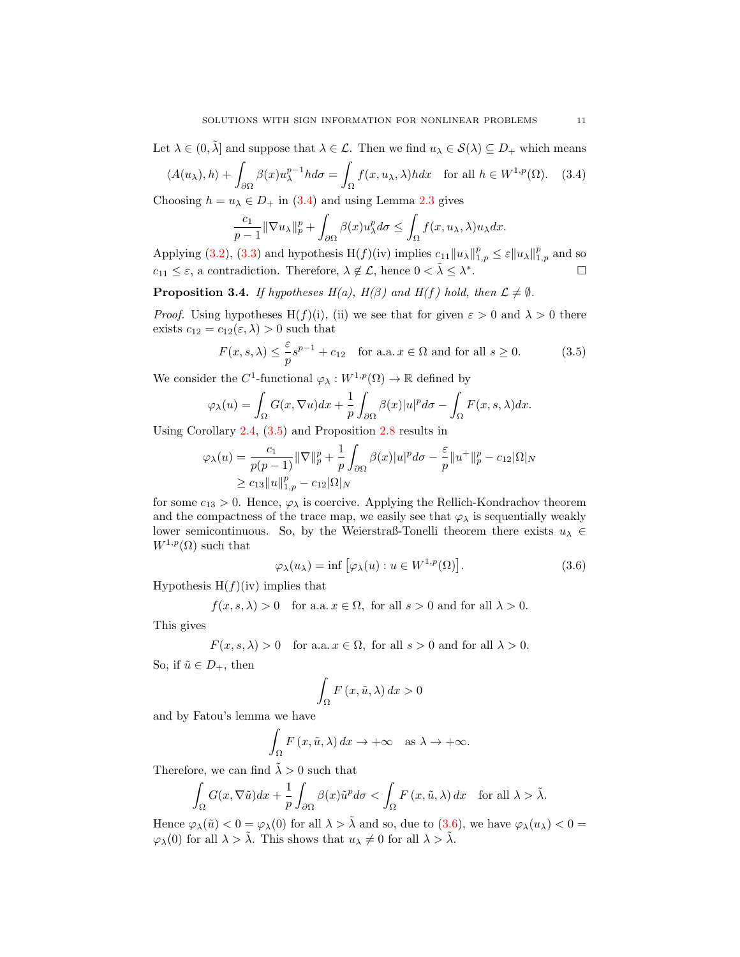Let  $\lambda \in (0, \tilde{\lambda}]$  and suppose that  $\lambda \in \mathcal{L}$ . Then we find  $u_{\lambda} \in \mathcal{S}(\lambda) \subseteq D_+$  which means

$$
\langle A(u_{\lambda}), h \rangle + \int_{\partial \Omega} \beta(x) u_{\lambda}^{p-1} h d\sigma = \int_{\Omega} f(x, u_{\lambda}, \lambda) h dx \quad \text{for all } h \in W^{1, p}(\Omega). \tag{3.4}
$$

Choosing  $h = u_{\lambda} \in D_+$  in [\(3.4\)](#page-10-0) and using Lemma [2.3](#page-3-1) gives

<span id="page-10-0"></span>
$$
\frac{c_1}{p-1} \|\nabla u_\lambda\|_p^p + \int_{\partial\Omega} \beta(x) u_\lambda^p d\sigma \le \int_{\Omega} f(x, u_\lambda, \lambda) u_\lambda dx.
$$

Applying [\(3.2\)](#page-9-1), [\(3.3\)](#page-9-2) and hypothesis  $H(f)(iv)$  implies  $c_{11}||u_\lambda||_{1,p}^p \leq \varepsilon ||u_\lambda||_{1,p}^p$  and so  $c_{11} \leq \varepsilon$ , a contradiction. Therefore,  $\lambda \notin \mathcal{L}$ , hence  $0 < \tilde{\lambda} \leq \lambda^*$ .<br>. — Первой Станингии II<br>.

<span id="page-10-3"></span>**Proposition 3.4.** If hypotheses  $H(a)$ ,  $H(\beta)$  and  $H(f)$  hold, then  $\mathcal{L} \neq \emptyset$ .

*Proof.* Using hypotheses H(f)(i), (ii) we see that for given  $\varepsilon > 0$  and  $\lambda > 0$  there exists  $c_{12} = c_{12}(\varepsilon, \lambda) > 0$  such that

<span id="page-10-1"></span>
$$
F(x, s, \lambda) \le \frac{\varepsilon}{p} s^{p-1} + c_{12} \quad \text{for a.a.} \ x \in \Omega \text{ and for all } s \ge 0. \tag{3.5}
$$

We consider the  $C^1$ -functional  $\varphi_\lambda: W^{1,p}(\Omega) \to \mathbb{R}$  defined by

$$
\varphi_{\lambda}(u) = \int_{\Omega} G(x, \nabla u) dx + \frac{1}{p} \int_{\partial \Omega} \beta(x) |u|^p d\sigma - \int_{\Omega} F(x, s, \lambda) dx.
$$

Using Corollary [2.4,](#page-4-0) [\(3.5\)](#page-10-1) and Proposition [2.8](#page-5-5) results in

$$
\varphi_{\lambda}(u) = \frac{c_1}{p(p-1)} \|\nabla\|_{p}^{p} + \frac{1}{p} \int_{\partial\Omega} \beta(x)|u|^{p} d\sigma - \frac{\varepsilon}{p} \|u^{+}\|_{p}^{p} - c_{12}|\Omega|_{N} \geq c_{13} \|u\|_{1,p}^{p} - c_{12}|\Omega|_{N}
$$

for some  $c_{13} > 0$ . Hence,  $\varphi_{\lambda}$  is coercive. Applying the Rellich-Kondrachov theorem and the compactness of the trace map, we easily see that  $\varphi_{\lambda}$  is sequentially weakly lower semicontinuous. So, by the Weierstraß-Tonelli theorem there exists  $u_{\lambda} \in$  $W^{1,p}(\Omega)$  such that

$$
\varphi_{\lambda}(u_{\lambda}) = \inf \left[ \varphi_{\lambda}(u) : u \in W^{1,p}(\Omega) \right]. \tag{3.6}
$$

Hypothesis  $H(f)(iv)$  implies that

$$
f(x, s, \lambda) > 0
$$
 for a.a.  $x \in \Omega$ , for all  $s > 0$  and for all  $\lambda > 0$ .

This gives

$$
F(x,s,\lambda)>0\quad \text{for a.a.}\,x\in\Omega,\,\,\text{for all}\,\,s>0\,\,\text{and for all}\,\,\lambda>0.
$$

So, if  $\tilde{u} \in D_+$ , then

<span id="page-10-2"></span>
$$
\int_{\Omega} F(x, \tilde{u}, \lambda) dx > 0
$$

and by Fatou's lemma we have

$$
\int_{\Omega} F(x, \tilde{u}, \lambda) dx \to +\infty \text{ as } \lambda \to +\infty.
$$

Therefore, we can find  $\tilde{\lambda} > 0$  such that

$$
\int_{\Omega} G(x, \nabla \tilde{u}) dx + \frac{1}{p} \int_{\partial \Omega} \beta(x) \tilde{u}^p d\sigma < \int_{\Omega} F(x, \tilde{u}, \lambda) dx \quad \text{for all } \lambda > \tilde{\lambda}.
$$

Hence  $\varphi_{\lambda}(\tilde{u}) < 0 = \varphi_{\lambda}(0)$  for all  $\lambda > \tilde{\lambda}$  and so, due to  $(3.6)$ , we have  $\varphi_{\lambda}(u_{\lambda}) < 0 =$  $\varphi_\lambda(0)$  for all  $\lambda > \tilde{\lambda}$ . This shows that  $u_\lambda \neq 0$  for all  $\lambda > \tilde{\lambda}$ .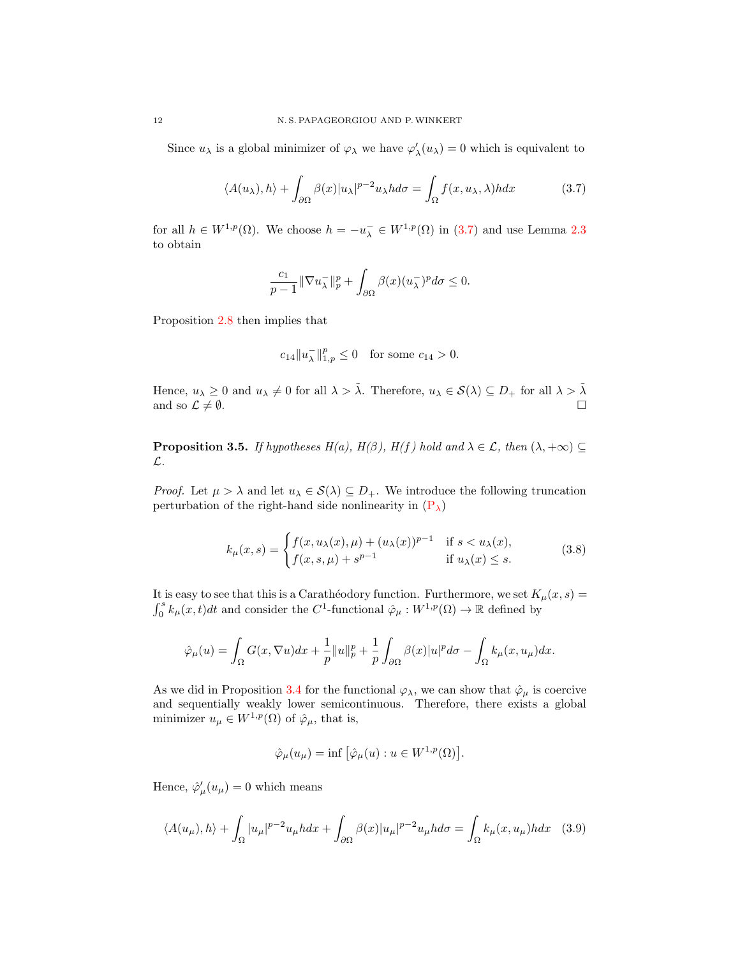Since  $u_\lambda$  is a global minimizer of  $\varphi_\lambda$  we have  $\varphi'_\lambda(u_\lambda) = 0$  which is equivalent to

$$
\langle A(u_{\lambda}), h \rangle + \int_{\partial \Omega} \beta(x) |u_{\lambda}|^{p-2} u_{\lambda} h d\sigma = \int_{\Omega} f(x, u_{\lambda}, \lambda) h dx \tag{3.7}
$$

for all  $h \in W^{1,p}(\Omega)$ . We choose  $h = -u_\lambda^- \in W^{1,p}(\Omega)$  in [\(3.7\)](#page-11-0) and use Lemma [2.3](#page-3-1) to obtain

<span id="page-11-0"></span>
$$
\frac{c_1}{p-1} \|\nabla u_\lambda^-\|_p^p + \int_{\partial\Omega} \beta(x) (u_\lambda^-)^p d\sigma \le 0.
$$

Proposition [2.8](#page-5-5) then implies that

$$
c_{14}||u_{\lambda}^-||_{1,p}^p \le 0
$$
 for some  $c_{14} > 0$ .

Hence,  $u_{\lambda} \geq 0$  and  $u_{\lambda} \neq 0$  for all  $\lambda > \tilde{\lambda}$ . Therefore,  $u_{\lambda} \in \mathcal{S}(\lambda) \subseteq D_+$  for all  $\lambda > \tilde{\lambda}$ and so  $\mathcal{L} \neq \emptyset$ .

<span id="page-11-3"></span>**Proposition 3.5.** If hypotheses  $H(a)$ ,  $H(\beta)$ ,  $H(f)$  hold and  $\lambda \in \mathcal{L}$ , then  $(\lambda, +\infty) \subseteq$ L.

*Proof.* Let  $\mu > \lambda$  and let  $u_{\lambda} \in S(\lambda) \subseteq D_+$ . We introduce the following truncation perturbation of the right-hand side nonlinearity in  $(P_{\lambda})$ 

<span id="page-11-2"></span>
$$
k_{\mu}(x,s) = \begin{cases} f(x, u_{\lambda}(x), \mu) + (u_{\lambda}(x))^{p-1} & \text{if } s < u_{\lambda}(x), \\ f(x, s, \mu) + s^{p-1} & \text{if } u_{\lambda}(x) \le s. \end{cases}
$$
(3.8)

It is easy to see that this is a Carathéodory function. Furthermore, we set  $K_\mu(x, s) =$  $\int_0^s k_\mu(x,t)dt$  and consider the C<sup>1</sup>-functional  $\hat{\varphi}_\mu : W^{1,p}(\Omega) \to \mathbb{R}$  defined by

$$
\hat{\varphi}_{\mu}(u) = \int_{\Omega} G(x, \nabla u) dx + \frac{1}{p} ||u||_{p}^{p} + \frac{1}{p} \int_{\partial \Omega} \beta(x) |u|^{p} d\sigma - \int_{\Omega} k_{\mu}(x, u_{\mu}) dx.
$$

As we did in Proposition [3.4](#page-10-3) for the functional  $\varphi_{\lambda}$ , we can show that  $\hat{\varphi}_{\mu}$  is coercive and sequentially weakly lower semicontinuous. Therefore, there exists a global minimizer  $u_{\mu} \in W^{1,p}(\Omega)$  of  $\hat{\varphi}_{\mu}$ , that is,

<span id="page-11-1"></span>
$$
\hat{\varphi}_{\mu}(u_{\mu}) = \inf \left[ \hat{\varphi}_{\mu}(u) : u \in W^{1,p}(\Omega) \right].
$$

Hence,  $\hat{\varphi}'_{\mu}(u_{\mu}) = 0$  which means

$$
\langle A(u_{\mu}), h \rangle + \int_{\Omega} |u_{\mu}|^{p-2} u_{\mu} h dx + \int_{\partial \Omega} \beta(x) |u_{\mu}|^{p-2} u_{\mu} h d\sigma = \int_{\Omega} k_{\mu}(x, u_{\mu}) h dx \quad (3.9)
$$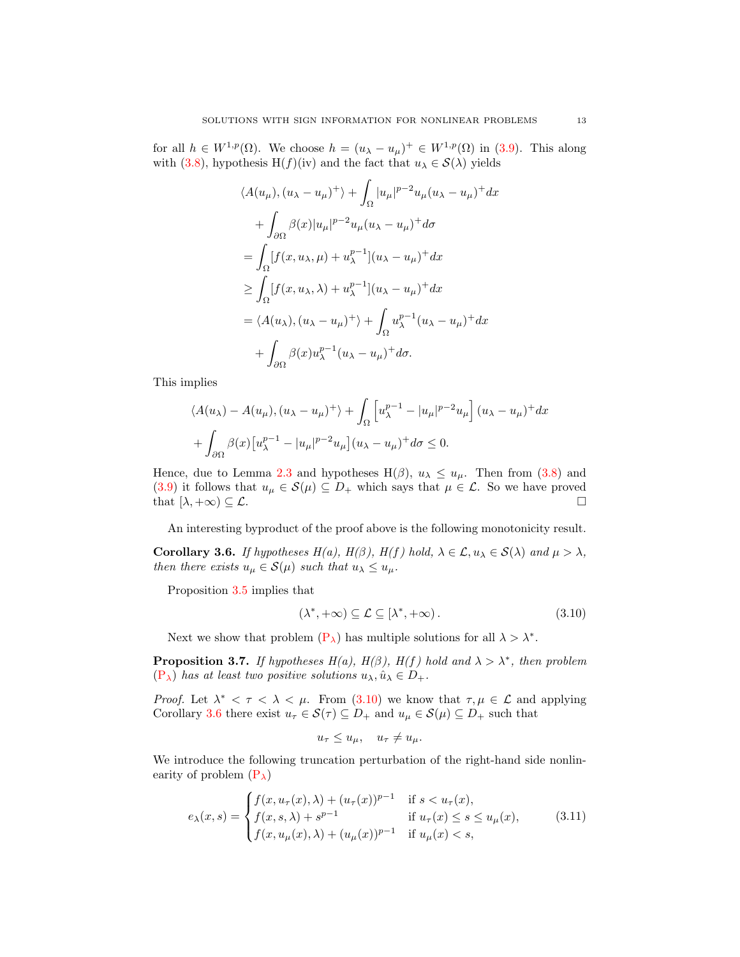for all  $h \in W^{1,p}(\Omega)$ . We choose  $h = (u_{\lambda} - u_{\mu})^+ \in W^{1,p}(\Omega)$  in [\(3.9\)](#page-11-1). This along with [\(3.8\)](#page-11-2), hypothesis H(f)(iv) and the fact that  $u_{\lambda} \in \mathcal{S}(\lambda)$  yields

$$
\langle A(u_{\mu}), (u_{\lambda} - u_{\mu})^{+} \rangle + \int_{\Omega} |u_{\mu}|^{p-2} u_{\mu} (u_{\lambda} - u_{\mu})^{+} dx
$$
  
+ 
$$
\int_{\partial \Omega} \beta(x) |u_{\mu}|^{p-2} u_{\mu} (u_{\lambda} - u_{\mu})^{+} d\sigma
$$
  
= 
$$
\int_{\Omega} [f(x, u_{\lambda}, \mu) + u_{\lambda}^{p-1}] (u_{\lambda} - u_{\mu})^{+} dx
$$
  

$$
\geq \int_{\Omega} [f(x, u_{\lambda}, \lambda) + u_{\lambda}^{p-1}] (u_{\lambda} - u_{\mu})^{+} dx
$$
  
= 
$$
\langle A(u_{\lambda}), (u_{\lambda} - u_{\mu})^{+} \rangle + \int_{\Omega} u_{\lambda}^{p-1} (u_{\lambda} - u_{\mu})^{+} dx
$$
  
+ 
$$
\int_{\partial \Omega} \beta(x) u_{\lambda}^{p-1} (u_{\lambda} - u_{\mu})^{+} d\sigma.
$$

This implies

$$
\langle A(u_{\lambda}) - A(u_{\mu}), (u_{\lambda} - u_{\mu})^{+} \rangle + \int_{\Omega} \left[ u_{\lambda}^{p-1} - |u_{\mu}|^{p-2} u_{\mu} \right] (u_{\lambda} - u_{\mu})^{+} dx
$$

$$
+ \int_{\partial \Omega} \beta(x) \left[ u_{\lambda}^{p-1} - |u_{\mu}|^{p-2} u_{\mu} \right] (u_{\lambda} - u_{\mu})^{+} d\sigma \le 0.
$$

Hence, due to Lemma [2.3](#page-3-1) and hypotheses H( $\beta$ ),  $u_{\lambda} \leq u_{\mu}$ . Then from [\(3.8\)](#page-11-2) and [\(3.9\)](#page-11-1) it follows that  $u_{\mu} \in \mathcal{S}(\mu) \subseteq D_+$  which says that  $\mu \in \mathcal{L}$ . So we have proved that  $[\lambda, +\infty) \subseteq \mathcal{L}$ .

An interesting byproduct of the proof above is the following monotonicity result.

<span id="page-12-1"></span>**Corollary 3.6.** If hypotheses  $H(a)$ ,  $H(\beta)$ ,  $H(f)$  hold,  $\lambda \in \mathcal{L}, u_{\lambda} \in \mathcal{S}(\lambda)$  and  $\mu > \lambda$ , then there exists  $u_{\mu} \in \mathcal{S}(\mu)$  such that  $u_{\lambda} \leq u_{\mu}$ .

Proposition [3.5](#page-11-3) implies that

<span id="page-12-0"></span>
$$
(\lambda^*, +\infty) \subseteq \mathcal{L} \subseteq [\lambda^*, +\infty). \tag{3.10}
$$

Next we show that problem  $(P_{\lambda})$  has multiple solutions for all  $\lambda > \lambda^*$ .

<span id="page-12-3"></span>**Proposition 3.7.** If hypotheses  $H(a)$ ,  $H(\beta)$ ,  $H(f)$  hold and  $\lambda > \lambda^*$ , then problem  $(P_{\lambda})$  $(P_{\lambda})$  has at least two positive solutions  $u_{\lambda}, \hat{u}_{\lambda} \in D_{+}$ .

Proof. Let  $\lambda^* < \tau < \lambda < \mu$ . From [\(3.10\)](#page-12-0) we know that  $\tau, \mu \in \mathcal{L}$  and applying Corollary [3.6](#page-12-1) there exist  $u_{\tau} \in \mathcal{S}(\tau) \subseteq D_+$  and  $u_{\mu} \in \mathcal{S}(\mu) \subseteq D_+$  such that

<span id="page-12-2"></span>
$$
u_{\tau} \le u_{\mu}, \quad u_{\tau} \ne u_{\mu}.
$$

We introduce the following truncation perturbation of the right-hand side nonlinearity of problem  $(P_{\lambda})$ 

$$
e_{\lambda}(x,s) = \begin{cases} f(x, u_{\tau}(x), \lambda) + (u_{\tau}(x))^{p-1} & \text{if } s < u_{\tau}(x), \\ f(x, s, \lambda) + s^{p-1} & \text{if } u_{\tau}(x) \le s \le u_{\mu}(x), \\ f(x, u_{\mu}(x), \lambda) + (u_{\mu}(x))^{p-1} & \text{if } u_{\mu}(x) < s, \end{cases}
$$
(3.11)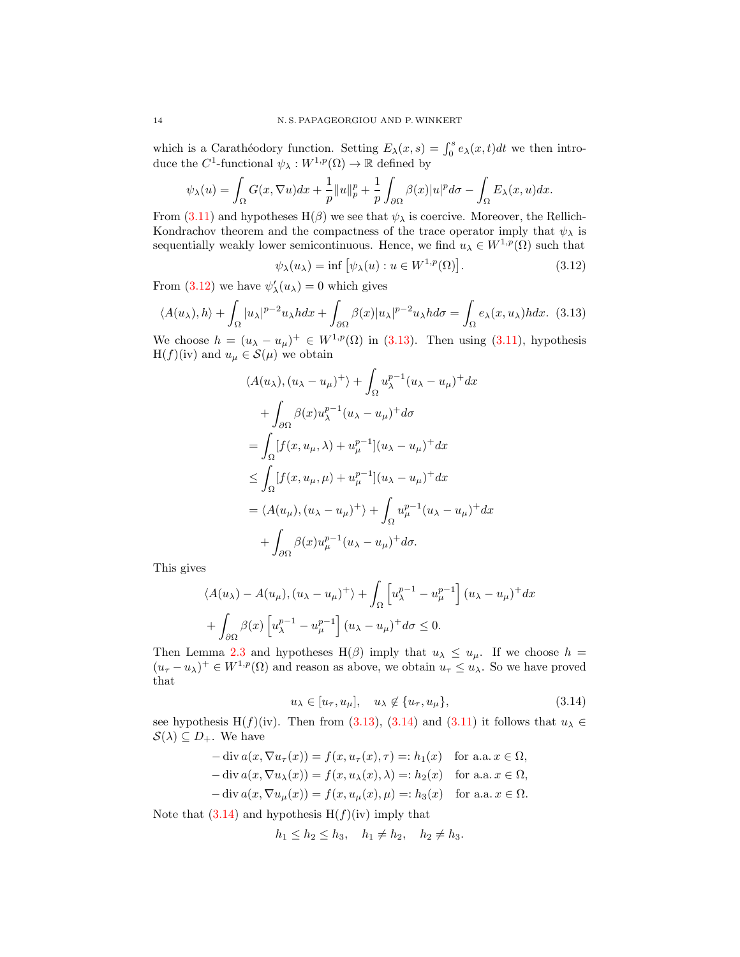which is a Carathéodory function. Setting  $E_{\lambda}(x, s) = \int_0^s e_{\lambda}(x, t)dt$  we then introduce the  $C^1$ -functional  $\psi_\lambda: W^{1,p}(\Omega) \to \mathbb{R}$  defined by

$$
\psi_{\lambda}(u) = \int_{\Omega} G(x, \nabla u) dx + \frac{1}{p} ||u||_{p}^{p} + \frac{1}{p} \int_{\partial\Omega} \beta(x) |u|^{p} d\sigma - \int_{\Omega} E_{\lambda}(x, u) dx.
$$

From [\(3.11\)](#page-12-2) and hypotheses H( $\beta$ ) we see that  $\psi_{\lambda}$  is coercive. Moreover, the Rellich-Kondrachov theorem and the compactness of the trace operator imply that  $\psi_{\lambda}$  is sequentially weakly lower semicontinuous. Hence, we find  $u_{\lambda} \in W^{1,p}(\Omega)$  such that

<span id="page-13-1"></span><span id="page-13-0"></span>
$$
\psi_{\lambda}(u_{\lambda}) = \inf \left[ \psi_{\lambda}(u) : u \in W^{1,p}(\Omega) \right]. \tag{3.12}
$$

From [\(3.12\)](#page-13-0) we have  $\psi'_{\lambda}(u_{\lambda}) = 0$  which gives

$$
\langle A(u_{\lambda}), h \rangle + \int_{\Omega} |u_{\lambda}|^{p-2} u_{\lambda} h dx + \int_{\partial \Omega} \beta(x) |u_{\lambda}|^{p-2} u_{\lambda} h d\sigma = \int_{\Omega} e_{\lambda}(x, u_{\lambda}) h dx. \tag{3.13}
$$

We choose  $h = (u_{\lambda} - u_{\mu})^+ \in W^{1,p}(\Omega)$  in [\(3.13\)](#page-13-1). Then using [\(3.11\)](#page-12-2), hypothesis  $H(f)(iv)$  and  $u_{\mu} \in \mathcal{S}(\mu)$  we obtain

$$
\langle A(u_{\lambda}), (u_{\lambda} - u_{\mu})^{+} \rangle + \int_{\Omega} u_{\lambda}^{p-1} (u_{\lambda} - u_{\mu})^{+} dx
$$
  
+ 
$$
\int_{\partial\Omega} \beta(x) u_{\lambda}^{p-1} (u_{\lambda} - u_{\mu})^{+} d\sigma
$$
  
= 
$$
\int_{\Omega} [f(x, u_{\mu}, \lambda) + u_{\mu}^{p-1}] (u_{\lambda} - u_{\mu})^{+} dx
$$
  

$$
\leq \int_{\Omega} [f(x, u_{\mu}, \mu) + u_{\mu}^{p-1}] (u_{\lambda} - u_{\mu})^{+} dx
$$
  
= 
$$
\langle A(u_{\mu}), (u_{\lambda} - u_{\mu})^{+} \rangle + \int_{\Omega} u_{\mu}^{p-1} (u_{\lambda} - u_{\mu})^{+} dx
$$
  
+ 
$$
\int_{\partial\Omega} \beta(x) u_{\mu}^{p-1} (u_{\lambda} - u_{\mu})^{+} d\sigma.
$$

This gives

$$
\langle A(u_{\lambda}) - A(u_{\mu}), (u_{\lambda} - u_{\mu})^{+} \rangle + \int_{\Omega} \left[ u_{\lambda}^{p-1} - u_{\mu}^{p-1} \right] (u_{\lambda} - u_{\mu})^{+} dx
$$

$$
+ \int_{\partial \Omega} \beta(x) \left[ u_{\lambda}^{p-1} - u_{\mu}^{p-1} \right] (u_{\lambda} - u_{\mu})^{+} d\sigma \leq 0.
$$

Then Lemma [2.3](#page-3-1) and hypotheses H( $\beta$ ) imply that  $u_{\lambda} \leq u_{\mu}$ . If we choose  $h =$  $(u_{\tau}-u_{\lambda})^+\in W^{1,p}(\Omega)$  and reason as above, we obtain  $u_{\tau}\leq u_{\lambda}$ . So we have proved that

<span id="page-13-2"></span>
$$
u_{\lambda} \in [u_{\tau}, u_{\mu}], \quad u_{\lambda} \notin \{u_{\tau}, u_{\mu}\}, \tag{3.14}
$$

see hypothesis H(f)(iv). Then from [\(3.13\)](#page-13-1), [\(3.14\)](#page-13-2) and [\(3.11\)](#page-12-2) it follows that  $u_{\lambda} \in$  $\mathcal{S}(\lambda) \subseteq D_+$ . We have

$$
-\operatorname{div} a(x, \nabla u_{\tau}(x)) = f(x, u_{\tau}(x), \tau) =: h_1(x) \quad \text{for a.a. } x \in \Omega,
$$
  

$$
-\operatorname{div} a(x, \nabla u_{\lambda}(x)) = f(x, u_{\lambda}(x), \lambda) =: h_2(x) \quad \text{for a.a. } x \in \Omega,
$$
  

$$
-\operatorname{div} a(x, \nabla u_{\mu}(x)) = f(x, u_{\mu}(x), \mu) =: h_3(x) \quad \text{for a.a. } x \in \Omega.
$$

Note that  $(3.14)$  and hypothesis  $H(f)(iv)$  imply that

$$
h_1 \le h_2 \le h_3
$$
,  $h_1 \ne h_2$ ,  $h_2 \ne h_3$ .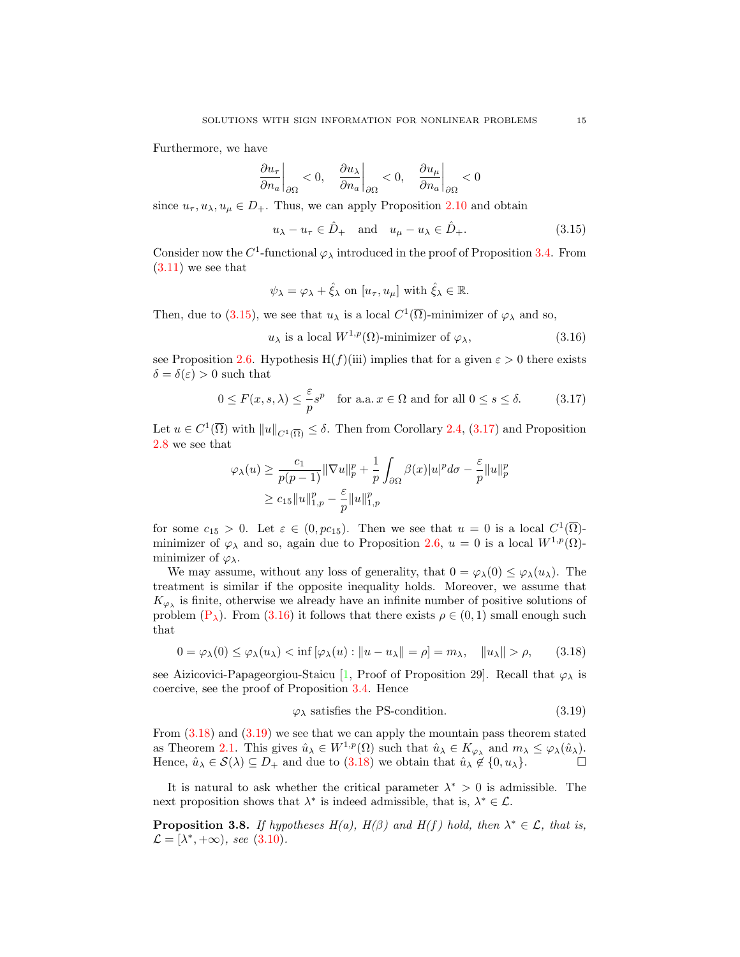Furthermore, we have

$$
\left.\frac{\partial u_\tau}{\partial n_a}\right|_{\partial\Omega} < 0, \quad \left.\frac{\partial u_\lambda}{\partial n_a}\right|_{\partial\Omega} < 0, \quad \left.\frac{\partial u_\mu}{\partial n_a}\right|_{\partial\Omega} < 0
$$

since  $u_{\tau}, u_{\lambda}, u_{\mu} \in D_+$ . Thus, we can apply Proposition [2.10](#page-6-1) and obtain

<span id="page-14-0"></span>
$$
u_{\lambda} - u_{\tau} \in \hat{D}_{+} \quad \text{and} \quad u_{\mu} - u_{\lambda} \in \hat{D}_{+}.
$$
 (3.15)

Consider now the  $C^1$ -functional  $\varphi_{\lambda}$  introduced in the proof of Proposition [3.4.](#page-10-3) From  $(3.11)$  we see that

<span id="page-14-2"></span>
$$
\psi_{\lambda} = \varphi_{\lambda} + \hat{\xi}_{\lambda}
$$
 on  $[u_{\tau}, u_{\mu}]$  with  $\hat{\xi}_{\lambda} \in \mathbb{R}$ .

Then, due to [\(3.15\)](#page-14-0), we see that  $u_{\lambda}$  is a local  $C^1(\overline{\Omega})$ -minimizer of  $\varphi_{\lambda}$  and so,

<span id="page-14-1"></span>
$$
u_{\lambda} \text{ is a local } W^{1,p}(\Omega) \text{-minimizer of } \varphi_{\lambda}, \tag{3.16}
$$

see Proposition [2.6.](#page-4-1) Hypothesis H(f)(iii) implies that for a given  $\varepsilon > 0$  there exists  $\delta = \delta(\varepsilon) > 0$  such that

$$
0 \le F(x, s, \lambda) \le \frac{\varepsilon}{p} s^p \quad \text{for a.a.} \ x \in \Omega \text{ and for all } 0 \le s \le \delta. \tag{3.17}
$$

Let  $u \in C^1(\overline{\Omega})$  with  $||u||_{C^1(\overline{\Omega})} \leq \delta$ . Then from Corollary [2.4,](#page-4-0) [\(3.17\)](#page-14-1) and Proposition [2.8](#page-5-5) we see that

$$
\varphi_{\lambda}(u) \ge \frac{c_1}{p(p-1)} \|\nabla u\|_p^p + \frac{1}{p} \int_{\partial\Omega} \beta(x)|u|^p d\sigma - \frac{\varepsilon}{p} \|u\|_p^p
$$
  

$$
\ge c_{15} \|u\|_{1,p}^p - \frac{\varepsilon}{p} \|u\|_{1,p}^p
$$

for some  $c_{15} > 0$ . Let  $\varepsilon \in (0, pc_{15})$ . Then we see that  $u = 0$  is a local  $C^1(\overline{\Omega})$ minimizer of  $\varphi_{\lambda}$  and so, again due to Proposition [2.6,](#page-4-1)  $u = 0$  is a local  $W^{1,p}(\Omega)$ minimizer of  $\varphi_{\lambda}$ .

We may assume, without any loss of generality, that  $0 = \varphi_{\lambda}(0) \leq \varphi_{\lambda}(u_{\lambda})$ . The treatment is similar if the opposite inequality holds. Moreover, we assume that  $K_{\varphi_{\lambda}}$  is finite, otherwise we already have an infinite number of positive solutions of problem  $(P_{\lambda})$ . From  $(3.16)$  it follows that there exists  $\rho \in (0,1)$  small enough such that

$$
0 = \varphi_{\lambda}(0) \le \varphi_{\lambda}(u_{\lambda}) < \inf [\varphi_{\lambda}(u) : ||u - u_{\lambda}|| = \rho] = m_{\lambda}, \quad ||u_{\lambda}|| > \rho,
$$
 (3.18)

see Aizicovici-Papageorgiou-Staicu [\[1,](#page-22-10) Proof of Proposition 29]. Recall that  $\varphi_{\lambda}$  is coercive, see the proof of Proposition [3.4.](#page-10-3) Hence

<span id="page-14-4"></span><span id="page-14-3"></span>
$$
\varphi_{\lambda} \text{ satisfies the PS-condition.} \tag{3.19}
$$

From [\(3.18\)](#page-14-3) and [\(3.19\)](#page-14-4) we see that we can apply the mountain pass theorem stated as Theorem [2.1.](#page-1-0) This gives  $\hat{u}_{\lambda} \in W^{1,p}(\Omega)$  such that  $\hat{u}_{\lambda} \in K_{\varphi_{\lambda}}$  and  $m_{\lambda} \leq \varphi_{\lambda}(\hat{u}_{\lambda})$ . Hence,  $\hat{u}_{\lambda} \in \mathcal{S}(\lambda) \subseteq D_+$  and due to  $(3.18)$  we obtain that  $\hat{u}_{\lambda} \notin \{0, u_{\lambda}\}.$ 

It is natural to ask whether the critical parameter  $\lambda^* > 0$  is admissible. The next proposition shows that  $\lambda^*$  is indeed admissible, that is,  $\lambda^* \in \mathcal{L}$ .

<span id="page-14-5"></span>**Proposition 3.8.** If hypotheses  $H(a)$ ,  $H(\beta)$  and  $H(f)$  hold, then  $\lambda^* \in \mathcal{L}$ , that is,  $\mathcal{L} = [\lambda^*, +\infty)$ , see [\(3.10\)](#page-12-0).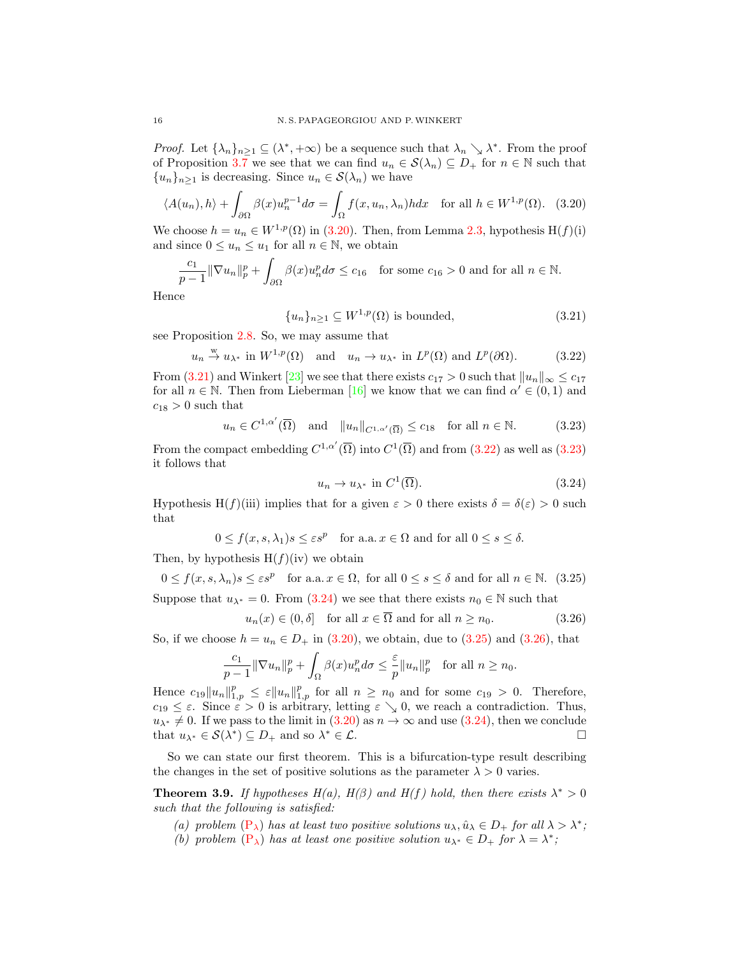*Proof.* Let  $\{\lambda_n\}_{n\geq 1} \subseteq (\lambda^*, +\infty)$  be a sequence such that  $\lambda_n \searrow \lambda^*$ . From the proof of Proposition [3.7](#page-12-3) we see that we can find  $u_n \in \mathcal{S}(\lambda_n) \subseteq D_+$  for  $n \in \mathbb{N}$  such that  ${u_n}_{n>1}$  is decreasing. Since  $u_n \in \mathcal{S}(\lambda_n)$  we have

$$
\langle A(u_n), h \rangle + \int_{\partial \Omega} \beta(x) u_n^{p-1} d\sigma = \int_{\Omega} f(x, u_n, \lambda_n) h dx \quad \text{for all } h \in W^{1, p}(\Omega). \tag{3.20}
$$

We choose  $h = u_n \in W^{1,p}(\Omega)$  in [\(3.20\)](#page-15-0). Then, from Lemma [2.3,](#page-3-1) hypothesis H(f)(i) and since  $0 \leq u_n \leq u_1$  for all  $n \in \mathbb{N}$ , we obtain

$$
\frac{c_1}{p-1} \|\nabla u_n\|_p^p + \int_{\partial\Omega} \beta(x) u_n^p d\sigma \le c_{16} \quad \text{for some } c_{16} > 0 \text{ and for all } n \in \mathbb{N}.
$$

Hence

<span id="page-15-1"></span><span id="page-15-0"></span>
$$
\{u_n\}_{n\geq 1} \subseteq W^{1,p}(\Omega) \text{ is bounded},\tag{3.21}
$$

see Proposition [2.8.](#page-5-5) So, we may assume that

 $u_n \stackrel{w}{\to} u_{\lambda^*}$  in  $W^{1,p}(\Omega)$  and  $u_n \to u_{\lambda^*}$  in  $L^p(\Omega)$  and  $L^p$  $(3.22)$ 

From [\(3.21\)](#page-15-1) and Winkert [\[23\]](#page-23-9) we see that there exists  $c_{17} > 0$  such that  $||u_n||_{\infty} \le c_{17}$ for all  $n \in \mathbb{N}$ . Then from Lieberman [\[16\]](#page-23-3) we know that we can find  $\alpha' \in (0,1)$  and  $c_{18} > 0$  such that

$$
u_n \in C^{1,\alpha'}(\overline{\Omega})
$$
 and  $||u_n||_{C^{1,\alpha'}(\overline{\Omega})} \leq c_{18}$  for all  $n \in \mathbb{N}$ . (3.23)

From the compact embedding  $C^{1,\alpha'}(\overline{\Omega})$  into  $C^1(\overline{\Omega})$  and from  $(3.22)$  as well as  $(3.23)$ it follows that

<span id="page-15-6"></span><span id="page-15-5"></span><span id="page-15-4"></span><span id="page-15-3"></span><span id="page-15-2"></span>
$$
u_n \to u_{\lambda^*} \text{ in } C^1(\overline{\Omega}).\tag{3.24}
$$

Hypothesis H(f)(iii) implies that for a given  $\varepsilon > 0$  there exists  $\delta = \delta(\varepsilon) > 0$  such that

$$
0 \le f(x, s, \lambda_1)s \le \varepsilon s^p \quad \text{for a.a. } x \in \Omega \text{ and for all } 0 \le s \le \delta.
$$

Then, by hypothesis  $H(f)(iv)$  we obtain

$$
0 \le f(x, s, \lambda_n) s \le \varepsilon s^p \quad \text{for a.a.} \ x \in \Omega, \text{ for all } 0 \le s \le \delta \text{ and for all } n \in \mathbb{N}. \tag{3.25}
$$

Suppose that  $u_{\lambda^*} = 0$ . From [\(3.24\)](#page-15-4) we see that there exists  $n_0 \in \mathbb{N}$  such that

$$
u_n(x) \in (0, \delta] \quad \text{for all } x \in \overline{\Omega} \text{ and for all } n \ge n_0. \tag{3.26}
$$

So, if we choose  $h = u_n \in D_+$  in [\(3.20\)](#page-15-0), we obtain, due to [\(3.25\)](#page-15-5) and [\(3.26\)](#page-15-6), that

$$
\frac{c_1}{p-1} \|\nabla u_n\|_p^p + \int_{\Omega} \beta(x) u_n^p d\sigma \le \frac{\varepsilon}{p} \|u_n\|_p^p \quad \text{for all } n \ge n_0.
$$

Hence  $c_{19}||u_n||_{1,p}^p \leq \varepsilon ||u_n||_{1,p}^p$  for all  $n \geq n_0$  and for some  $c_{19} > 0$ . Therefore,  $c_{19} \leq \varepsilon$ . Since  $\tilde{\varepsilon} > 0$  is arbitrary, letting  $\varepsilon \searrow 0$ , we reach a contradiction. Thus,  $u_{\lambda^*} \neq 0$ . If we pass to the limit in  $(3.20)$  as  $n \to \infty$  and use  $(3.24)$ , then we conclude that  $u_{\lambda^*} \in \mathcal{S}(\lambda^*) \subseteq D_+$  and so  $\lambda^* \in \mathcal{L}$ .

So we can state our first theorem. This is a bifurcation-type result describing the changes in the set of positive solutions as the parameter  $\lambda > 0$  varies.

**Theorem 3.9.** If hypotheses  $H(a)$ ,  $H(\beta)$  and  $H(f)$  hold, then there exists  $\lambda^* > 0$ such that the following is satisfied:

(a) problem  $(P_{\lambda})$  $(P_{\lambda})$  has at least two positive solutions  $u_{\lambda}, \hat{u}_{\lambda} \in D_+$  for all  $\lambda > \lambda^*$ ; (b) problem  $(P_{\lambda})$  $(P_{\lambda})$  has at least one positive solution  $u_{\lambda^*} \in D_+$  for  $\lambda = \lambda^*$ ;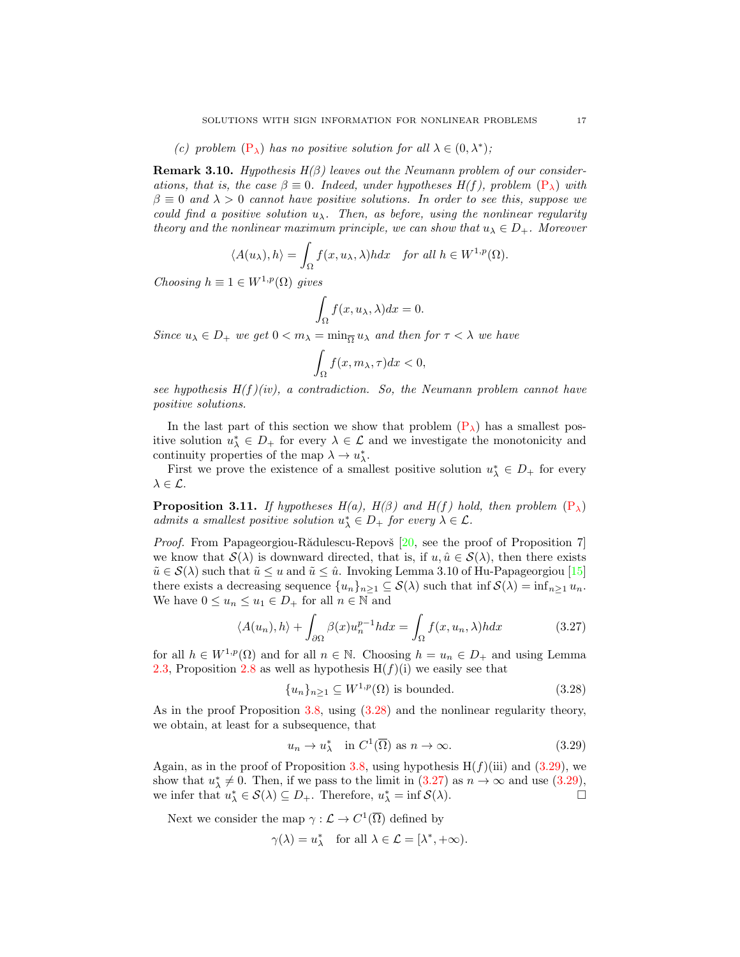(c) problem  $(P_{\lambda})$  $(P_{\lambda})$  has no positive solution for all  $\lambda \in (0, \lambda^*)$ ;

**Remark 3.10.** Hypothesis  $H(\beta)$  leaves out the Neumann problem of our considerations, that is, the case  $\beta \equiv 0$ . Indeed, under hypotheses  $H(f)$ , problem  $(P_{\lambda})$  $(P_{\lambda})$  with  $\beta \equiv 0$  and  $\lambda > 0$  cannot have positive solutions. In order to see this, suppose we could find a positive solution  $u_\lambda$ . Then, as before, using the nonlinear regularity theory and the nonlinear maximum principle, we can show that  $u_{\lambda} \in D_{+}$ . Moreover

$$
\langle A(u_{\lambda}), h \rangle = \int_{\Omega} f(x, u_{\lambda}, \lambda) h dx \quad \text{for all } h \in W^{1, p}(\Omega).
$$

Choosing  $h \equiv 1 \in W^{1,p}(\Omega)$  gives

$$
\int_{\Omega} f(x, u_{\lambda}, \lambda) dx = 0.
$$

Since  $u_{\lambda} \in D_+$  we get  $0 < m_{\lambda} = \min_{\overline{\Omega}} u_{\lambda}$  and then for  $\tau < \lambda$  we have

$$
\int_{\Omega} f(x, m_{\lambda}, \tau) dx < 0,
$$

see hypothesis  $H(f)(iv)$ , a contradiction. So, the Neumann problem cannot have positive solutions.

In the last part of this section we show that problem  $(P_{\lambda})$  has a smallest positive solution  $u_{\lambda}^* \in D_+$  for every  $\lambda \in \mathcal{L}$  and we investigate the monotonicity and continuity properties of the map  $\lambda \to u_{\lambda}^*$ .

First we prove the existence of a smallest positive solution  $u^*_{\lambda} \in D_+$  for every  $\lambda \in \mathcal{L}$ .

<span id="page-16-3"></span>**Proposition 3.11.** If hypotheses H(a), H( $\beta$ ) and H(f) hold, then problem [\(P](#page-0-0)<sub> $\lambda$ </sub>) admits a smallest positive solution  $u^*_{\lambda} \in D_+$  for every  $\lambda \in \mathcal{L}$ .

Proof. From Papageorgiou-Rădulescu-Repovš [\[20,](#page-23-10) see the proof of Proposition 7] we know that  $\mathcal{S}(\lambda)$  is downward directed, that is, if  $u, \hat{u} \in \mathcal{S}(\lambda)$ , then there exists  $\tilde{u} \in \mathcal{S}(\lambda)$  such that  $\tilde{u} \leq u$  and  $\tilde{u} \leq \hat{u}$ . Invoking Lemma 3.10 of Hu-Papageorgiou [\[15\]](#page-23-11) there exists a decreasing sequence  $\{u_n\}_{n\geq 1} \subseteq \mathcal{S}(\lambda)$  such that inf  $\mathcal{S}(\lambda) = \inf_{n\geq 1} u_n$ . We have  $0 \leq u_n \leq u_1 \in D_+$  for all  $n \in \mathbb{N}$  and

$$
\langle A(u_n), h \rangle + \int_{\partial \Omega} \beta(x) u_n^{p-1} h dx = \int_{\Omega} f(x, u_n, \lambda) h dx \tag{3.27}
$$

for all  $h \in W^{1,p}(\Omega)$  and for all  $n \in \mathbb{N}$ . Choosing  $h = u_n \in D_+$  and using Lemma [2.3,](#page-3-1) Proposition [2.8](#page-5-5) as well as hypothesis  $H(f)(i)$  we easily see that

<span id="page-16-2"></span><span id="page-16-0"></span>
$$
\{u_n\}_{n\geq 1} \subseteq W^{1,p}(\Omega) \text{ is bounded.}
$$
\n(3.28)

As in the proof Proposition [3.8,](#page-14-5) using [\(3.28\)](#page-16-0) and the nonlinear regularity theory, we obtain, at least for a subsequence, that

<span id="page-16-1"></span>
$$
u_n \to u_\lambda^* \quad \text{in } C^1(\overline{\Omega}) \text{ as } n \to \infty. \tag{3.29}
$$

Again, as in the proof of Proposition [3.8,](#page-14-5) using hypothesis  $H(f)(iii)$  and [\(3.29\)](#page-16-1), we show that  $u^*_{\lambda} \neq 0$ . Then, if we pass to the limit in  $(3.27)$  as  $n \to \infty$  and use  $(3.29)$ , we infer that  $u_{\lambda}^* \in \mathcal{S}(\lambda) \subseteq D_+$ . Therefore,  $u_{\lambda}^* = \inf \mathcal{S}(\lambda)$ .

Next we consider the map  $\gamma : \mathcal{L} \to C^1(\overline{\Omega})$  defined by

$$
\gamma(\lambda) = u_{\lambda}^*
$$
 for all  $\lambda \in \mathcal{L} = [\lambda^*, +\infty).$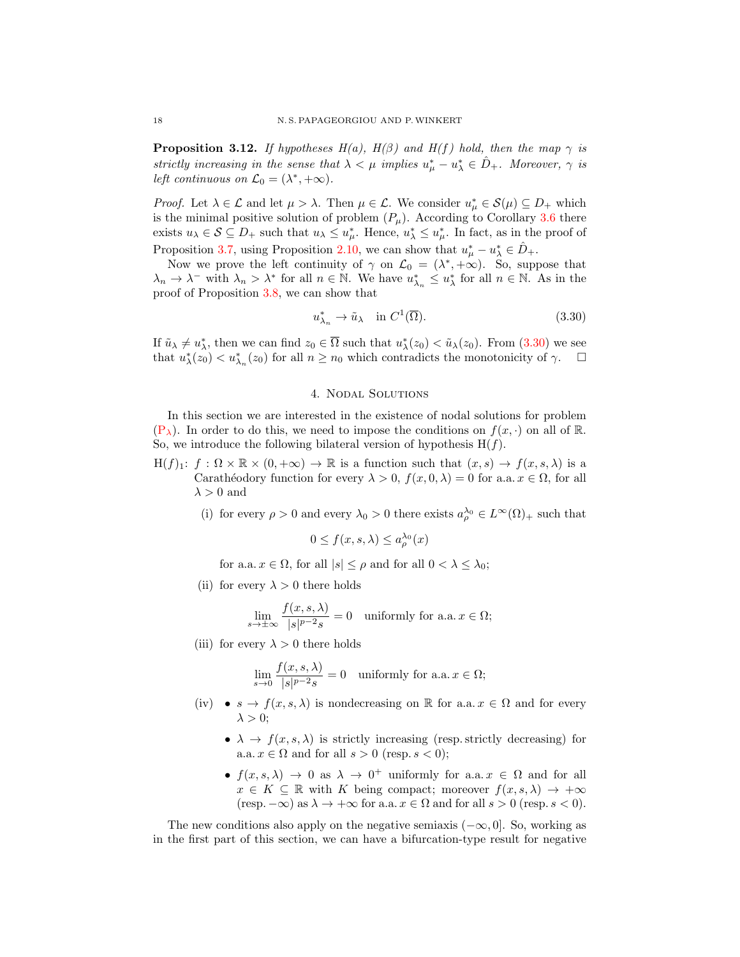<span id="page-17-1"></span>**Proposition 3.12.** If hypotheses  $H(a)$ ,  $H(\beta)$  and  $H(f)$  hold, then the map  $\gamma$  is strictly increasing in the sense that  $\lambda < \mu$  implies  $u^*_{\mu} - u^*_{\lambda} \in \hat{D}_{+}$ . Moreover,  $\gamma$  is left continuous on  $\mathcal{L}_0 = (\lambda^*, +\infty)$ .

*Proof.* Let  $\lambda \in \mathcal{L}$  and let  $\mu > \lambda$ . Then  $\mu \in \mathcal{L}$ . We consider  $u_{\mu}^* \in \mathcal{S}(\mu) \subseteq D_+$  which is the minimal positive solution of problem  $(P_\mu)$ . According to Corollary [3.6](#page-12-1) there exists  $u_\lambda \in \mathcal{S} \subseteq D_+$  such that  $u_\lambda \leq u_\mu^*$ . Hence,  $u_\lambda^* \leq u_\mu^*$ . In fact, as in the proof of Proposition [3.7,](#page-12-3) using Proposition [2.10,](#page-6-1) we can show that  $u^*_{\mu} - u^*_{\lambda} \in \hat{D}_{+}$ .

Now we prove the left continuity of  $\gamma$  on  $\mathcal{L}_0 = (\lambda^*, +\infty)$ . So, suppose that  $\lambda_n \to \lambda^-$  with  $\lambda_n > \lambda^*$  for all  $n \in \mathbb{N}$ . We have  $u_{\lambda_n}^* \leq u_{\lambda}^*$  for all  $n \in \mathbb{N}$ . As in the proof of Proposition [3.8,](#page-14-5) we can show that

<span id="page-17-0"></span>
$$
u_{\lambda_n}^* \to \tilde{u}_\lambda \quad \text{in } C^1(\overline{\Omega}).\tag{3.30}
$$

If  $\tilde{u}_{\lambda} \neq u_{\lambda}^*$ , then we can find  $z_0 \in \overline{\Omega}$  such that  $u_{\lambda}^*(z_0) < \tilde{u}_{\lambda}(z_0)$ . From  $(3.30)$  we see that  $u_{\lambda}^{*}(z_0) < u_{\lambda_n}^{*}(z_0)$  for all  $n \geq n_0$  which contradicts the monotonicity of  $\gamma$ .

#### 4. Nodal Solutions

In this section we are interested in the existence of nodal solutions for problem  $(P_\lambda)$  $(P_\lambda)$ . In order to do this, we need to impose the conditions on  $f(x, \cdot)$  on all of R. So, we introduce the following bilateral version of hypothesis  $H(f)$ .

- $H(f)_1: f: \Omega \times \mathbb{R} \times (0, +\infty) \to \mathbb{R}$  is a function such that  $(x, s) \to f(x, s, \lambda)$  is a Carathéodory function for every  $\lambda > 0$ ,  $f(x, 0, \lambda) = 0$  for a.a.  $x \in \Omega$ , for all  $\lambda > 0$  and
	- (i) for every  $\rho > 0$  and every  $\lambda_0 > 0$  there exists  $a_{\rho}^{\lambda_0} \in L^{\infty}(\Omega)_{+}$  such that

$$
0 \le f(x, s, \lambda) \le a^{\lambda_0}_{\rho}(x)
$$

for a.a.  $x \in \Omega$ , for all  $|s| \leq \rho$  and for all  $0 < \lambda \leq \lambda_0$ ;

(ii) for every  $\lambda > 0$  there holds

$$
\lim_{s \to \pm \infty} \frac{f(x, s, \lambda)}{|s|^{p-2} s} = 0 \quad \text{uniformly for a.a. } x \in \Omega;
$$

(iii) for every  $\lambda > 0$  there holds

$$
\lim_{s \to 0} \frac{f(x, s, \lambda)}{|s|^{p-2}s} = 0 \quad \text{uniformly for a.a. } x \in \Omega;
$$

- (iv)  $s \to f(x, s, \lambda)$  is nondecreasing on R for a.a.  $x \in \Omega$  and for every  $\lambda > 0$ ;
	- $\lambda \to f(x, s, \lambda)$  is strictly increasing (resp. strictly decreasing) for a.a.  $x \in \Omega$  and for all  $s > 0$  (resp.  $s < 0$ );
	- $f(x, s, \lambda) \to 0$  as  $\lambda \to 0^+$  uniformly for a.a.  $x \in \Omega$  and for all  $x \in K \subseteq \mathbb{R}$  with K being compact; moreover  $f(x, s, \lambda) \to +\infty$  $(\text{resp. } -\infty)$  as  $\lambda \to +\infty$  for a.a.  $x \in \Omega$  and for all  $s > 0$  (resp.  $s < 0$ ).

The new conditions also apply on the negative semiaxis  $(-\infty, 0]$ . So, working as in the first part of this section, we can have a bifurcation-type result for negative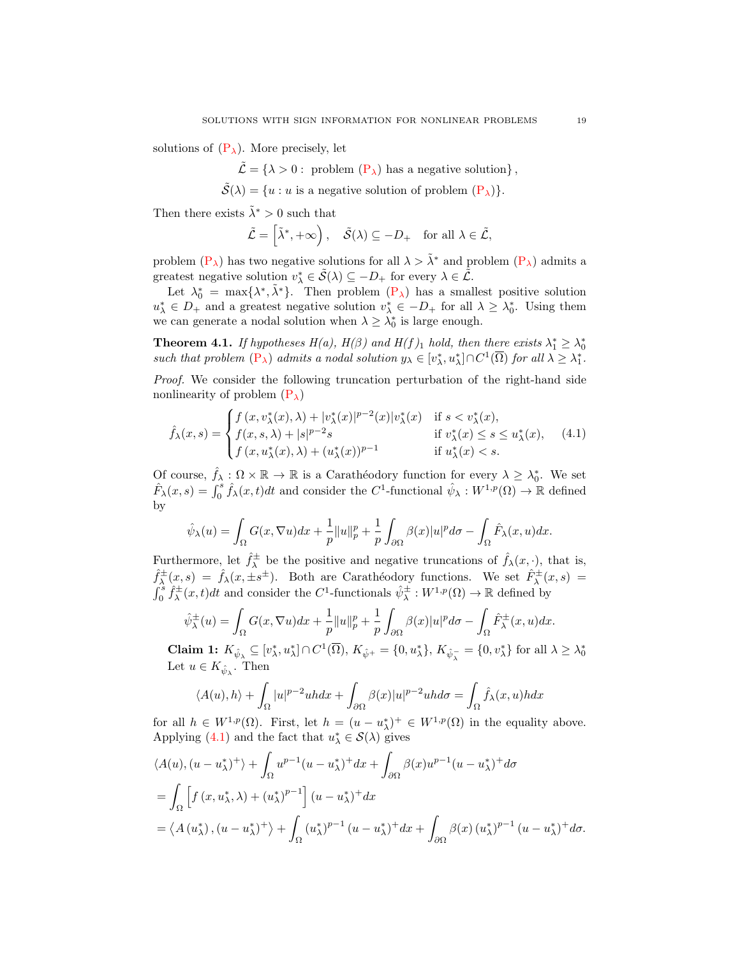solutions of  $(P_{\lambda})$ . More precisely, let

 $\tilde{\mathcal{L}} = \{\lambda > 0: \text{ problem } (\mathbf{P}_{\lambda}) \text{ has a negative solution}\},\$ 

 $\tilde{\mathcal{S}}(\lambda) = \{u : u \text{ is a negative solution of problem } (\mathbf{P}_{\lambda})\}.$ 

Then there exists  $\tilde{\lambda}^* > 0$  such that

$$
\tilde{\mathcal{L}} = \left[ \tilde{\lambda}^*, +\infty \right), \quad \tilde{\mathcal{S}}(\lambda) \subseteq -D_+ \quad \text{for all } \lambda \in \tilde{\mathcal{L}},
$$

problem  $(P_{\lambda})$  has two negative solutions for all  $\lambda > \tilde{\lambda}^*$  and problem  $(P_{\lambda})$  admits a greatest negative solution  $v^*_{\lambda} \in \tilde{S}(\lambda) \subseteq -D_+$  for every  $\lambda \in \tilde{\mathcal{L}}$ .

Let  $\lambda_0^* = \max{\lambda^*, \tilde{\lambda}^*}$ . Then problem  $(P_{\lambda})$  has a smallest positive solution  $u_{\lambda}^* \in D_+$  and a greatest negative solution  $v_{\lambda}^* \in -D_+$  for all  $\lambda \geq \lambda_0^*$ . Using them we can generate a nodal solution when  $\lambda \geq \lambda_0^*$  is large enough.

<span id="page-18-1"></span>**Theorem 4.1.** If hypotheses  $H(a)$ ,  $H(\beta)$  and  $H(f)_1$  hold, then there exists  $\lambda_1^* \geq \lambda_0^*$ such that problem  $(P_{\lambda})$  $(P_{\lambda})$  admits a nodal solution  $y_{\lambda} \in [v_{\lambda}^*, u_{\lambda}^*] \cap C^1(\overline{\Omega})$  for all  $\lambda \geq \lambda_1^*$ .

Proof. We consider the following truncation perturbation of the right-hand side nonlinearity of problem  $(P_{\lambda})$ 

$$
\hat{f}_{\lambda}(x,s) = \begin{cases} f(x,v_{\lambda}^*(x),\lambda) + |v_{\lambda}^*(x)|^{p-2}(x)|v_{\lambda}^*(x) & \text{if } s < v_{\lambda}^*(x), \\ f(x,s,\lambda) + |s|^{p-2}s & \text{if } v_{\lambda}^*(x) \le s \le u_{\lambda}^*(x), \\ f(x,u_{\lambda}^*(x),\lambda) + (u_{\lambda}^*(x))^{p-1} & \text{if } u_{\lambda}^*(x) < s. \end{cases}
$$
(4.1)

Of course,  $\hat{f}_{\lambda} : \Omega \times \mathbb{R} \to \mathbb{R}$  is a Carathéodory function for every  $\lambda \geq \lambda_0^*$ . We set  $\hat{F}_{\lambda}(x,s) = \int_0^s \hat{f}_{\lambda}(x,t)dt$  and consider the  $C^1$ -functional  $\hat{\psi}_{\lambda}: W^{1,p}(\Omega) \to \mathbb{R}$  defined by

$$
\hat{\psi}_{\lambda}(u) = \int_{\Omega} G(x, \nabla u) dx + \frac{1}{p} ||u||_{p}^{p} + \frac{1}{p} \int_{\partial \Omega} \beta(x) |u|^{p} d\sigma - \int_{\Omega} \hat{F}_{\lambda}(x, u) dx.
$$

Furthermore, let  $\hat{f}^{\pm}_{\lambda}$  be the positive and negative truncations of  $\hat{f}_{\lambda}(x, \cdot)$ , that is,  $\hat{f}^{\pm}_{\lambda}(x,s) = \hat{f}_{\lambda}(x,\pm s^{\pm}).$  Both are Carathéodory functions. We set  $\hat{F}^{\pm}_{\lambda}(x,s)$  $\int_0^s \hat{f}_\lambda^{\pm}(x,t)dt$  and consider the C<sup>1</sup>-functionals  $\hat{\psi}_\lambda^{\pm}: W^{1,p}(\Omega) \to \mathbb{R}$  defined by

$$
\hat{\psi}_{\lambda}^{\pm}(u) = \int_{\Omega} G(x, \nabla u) dx + \frac{1}{p} ||u||_{p}^{p} + \frac{1}{p} \int_{\partial \Omega} \beta(x) |u|^{p} d\sigma - \int_{\Omega} \hat{F}_{\lambda}^{\pm}(x, u) dx.
$$

Claim 1:  $K_{\hat{\psi}_{\lambda}} \subseteq [v_{\lambda}^*, u_{\lambda}^*] \cap C^1(\overline{\Omega}), K_{\hat{\psi}^+} = \{0, u_{\lambda}^*\}, K_{\hat{\psi}_{\lambda}^-} = \{0, v_{\lambda}^*\}$  for all  $\lambda \geq \lambda_0^*$ Let  $u \in K_{\hat{\psi}_{\lambda}}$ . Then

$$
\langle A(u), h \rangle + \int_{\Omega} |u|^{p-2} u h dx + \int_{\partial \Omega} \beta(x) |u|^{p-2} u h d\sigma = \int_{\Omega} \hat{f}_{\lambda}(x, u) h dx
$$

for all  $h \in W^{1,p}(\Omega)$ . First, let  $h = (u - u_{\lambda}^*)^+ \in W^{1,p}(\Omega)$  in the equality above. Applying [\(4.1\)](#page-18-0) and the fact that  $u^*_{\lambda} \in \mathcal{S}(\lambda)$  gives

$$
\langle A(u), (u - u_{\lambda}^*)^+ \rangle + \int_{\Omega} u^{p-1} (u - u_{\lambda}^*)^+ dx + \int_{\partial \Omega} \beta(x) u^{p-1} (u - u_{\lambda}^*)^+ d\sigma
$$
  
= 
$$
\int_{\Omega} \left[ f(x, u_{\lambda}^*, \lambda) + (u_{\lambda}^*)^{p-1} \right] (u - u_{\lambda}^*)^+ dx
$$
  
= 
$$
\langle A(u_{\lambda}^*), (u - u_{\lambda}^*)^+ \rangle + \int_{\Omega} (u_{\lambda}^*)^{p-1} (u - u_{\lambda}^*)^+ dx + \int_{\partial \Omega} \beta(x) (u_{\lambda}^*)^{p-1} (u - u_{\lambda}^*)^+ d\sigma.
$$

<span id="page-18-0"></span>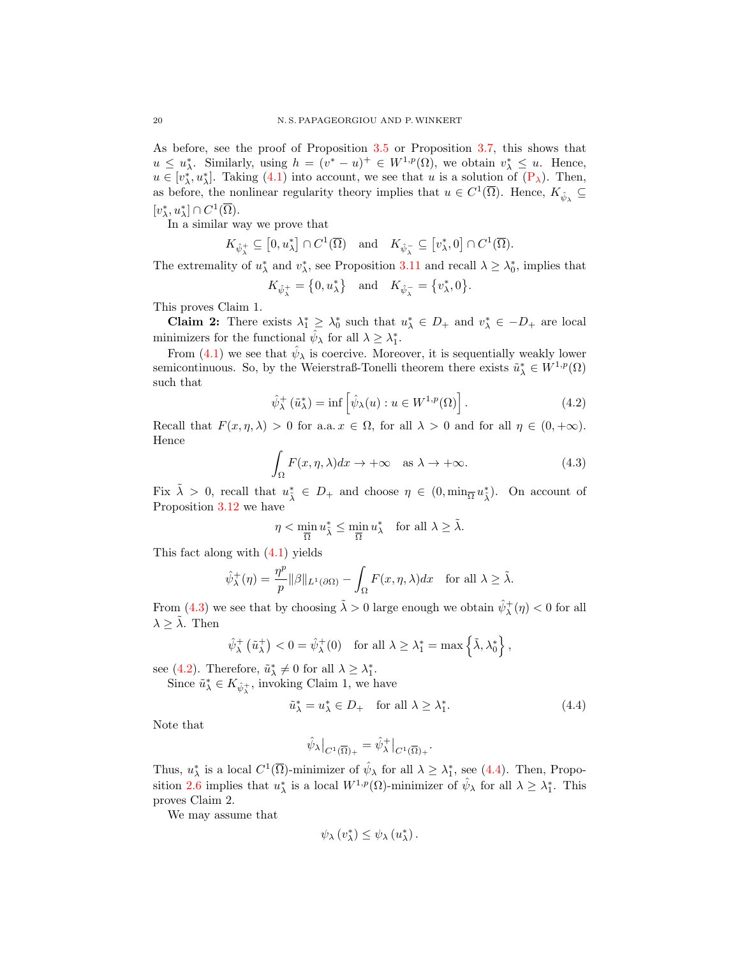As before, see the proof of Proposition [3.5](#page-11-3) or Proposition [3.7,](#page-12-3) this shows that  $u \leq u_{\lambda}^*$ . Similarly, using  $h = (v^* - u)^+ \in W^{1,p}(\Omega)$ , we obtain  $v_{\lambda}^* \leq u$ . Hence,  $u \in [v_\lambda^*, u_\lambda^*].$  Taking [\(4.1\)](#page-18-0) into account, we see that u is a solution of  $(P_\lambda)$ . Then, as before, the nonlinear regularity theory implies that  $u \in C^1(\overline{\Omega})$ . Hence,  $K_{\hat{\psi}_{\lambda}} \subseteq$  $[v_{\lambda}^*, u_{\lambda}^*] \cap C^1(\overline{\Omega}).$ 

In a similar way we prove that

$$
K_{\hat{\psi}^+_{\lambda}} \subseteq [0, u^*_{\lambda}] \cap C^1(\overline{\Omega}) \quad \text{and} \quad K_{\hat{\psi}^-_{\lambda}} \subseteq [v^*_{\lambda}, 0] \cap C^1(\overline{\Omega}).
$$

The extremality of  $u^*_{\lambda}$  and  $v^*_{\lambda}$ , see Proposition [3.11](#page-16-3) and recall  $\lambda \geq \lambda_0^*$ , implies that

$$
K_{\hat{\psi}^+_{\lambda}} = \{0, u^*_{\lambda}\} \text{ and } K_{\hat{\psi}^-_{\lambda}} = \{v^*_{\lambda}, 0\}.
$$

This proves Claim 1.

Claim 2: There exists  $\lambda_1^* \geq \lambda_0^*$  such that  $u_{\lambda}^* \in D_+$  and  $v_{\lambda}^* \in -D_+$  are local minimizers for the functional  $\hat{\psi}_{\lambda}$  for all  $\lambda \geq \lambda_1^*$ .

From [\(4.1\)](#page-18-0) we see that  $\hat{\psi}_{\lambda}$  is coercive. Moreover, it is sequentially weakly lower semicontinuous. So, by the Weierstraß-Tonelli theorem there exists  $\tilde{u}^*_{\lambda} \in W^{1,p}(\Omega)$ such that

<span id="page-19-1"></span>
$$
\hat{\psi}_{\lambda}^{+}(\tilde{u}_{\lambda}^{*}) = \inf \left[ \hat{\psi}_{\lambda}(u) : u \in W^{1,p}(\Omega) \right]. \tag{4.2}
$$

Recall that  $F(x, \eta, \lambda) > 0$  for a.a.  $x \in \Omega$ , for all  $\lambda > 0$  and for all  $\eta \in (0, +\infty)$ . Hence

<span id="page-19-0"></span>
$$
\int_{\Omega} F(x, \eta, \lambda) dx \to +\infty \quad \text{as } \lambda \to +\infty.
$$
 (4.3)

Fix  $\tilde{\lambda} > 0$ , recall that  $u_{\tilde{\lambda}}^* \in D_+$  and choose  $\eta \in (0, \min_{\overline{\Omega}} u_{\tilde{\lambda}}^*)$ . On account of Proposition [3.12](#page-17-1) we have

$$
\eta < \min_{\overline{\Omega}} u_{\tilde{\lambda}}^* \le \min_{\overline{\Omega}} u_{\lambda}^* \quad \text{for all } \lambda \ge \tilde{\lambda}.
$$

This fact along with [\(4.1\)](#page-18-0) yields

$$
\hat{\psi}_{\lambda}^{+}(\eta) = \frac{\eta^{p}}{p} \|\beta\|_{L^{1}(\partial \Omega)} - \int_{\Omega} F(x, \eta, \lambda) dx \quad \text{for all } \lambda \geq \tilde{\lambda}.
$$

From [\(4.3\)](#page-19-0) we see that by choosing  $\tilde{\lambda} > 0$  large enough we obtain  $\hat{\psi}^+_{\lambda}(\eta) < 0$  for all  $\lambda \geq \lambda$ . Then

$$
\hat{\psi}_{\lambda}^{+}(\tilde{u}_{\lambda}^{+}) < 0 = \hat{\psi}_{\lambda}^{+}(0) \quad \text{for all } \lambda \geq \lambda_{1}^{*} = \max\left\{\tilde{\lambda}, \lambda_{0}^{*}\right\},
$$

see [\(4.2\)](#page-19-1). Therefore,  $\tilde{u}^*_{\lambda} \neq 0$  for all  $\lambda \geq \lambda_1^*$ .

Since  $\tilde{u}^*_{\lambda}\in K_{\hat{\psi}^+_{\lambda}},$  invoking Claim 1, we have

$$
\tilde{u}_{\lambda}^* = u_{\lambda}^* \in D_+ \quad \text{for all } \lambda \ge \lambda_1^*.
$$
\n
$$
(4.4)
$$

Note that

<span id="page-19-2"></span>
$$
\hat{\psi}_{\lambda}\big|_{C^1(\overline{\Omega})_+}=\hat{\psi}_{\lambda}^+\big|_{C^1(\overline{\Omega})_+}.
$$

Thus,  $u_{\lambda}^*$  is a local  $C^1(\overline{\Omega})$ -minimizer of  $\hat{\psi}_{\lambda}$  for all  $\lambda \geq \lambda_1^*$ , see [\(4.4\)](#page-19-2). Then, Propo-sition [2.6](#page-4-1) implies that  $u_{\lambda}^*$  is a local  $W^{1,p}(\Omega)$ -minimizer of  $\hat{\psi}_{\lambda}$  for all  $\lambda \geq \lambda_1^*$ . This proves Claim 2.

We may assume that

$$
\psi_{\lambda}(v_{\lambda}^*) \leq \psi_{\lambda}(u_{\lambda}^*)
$$
.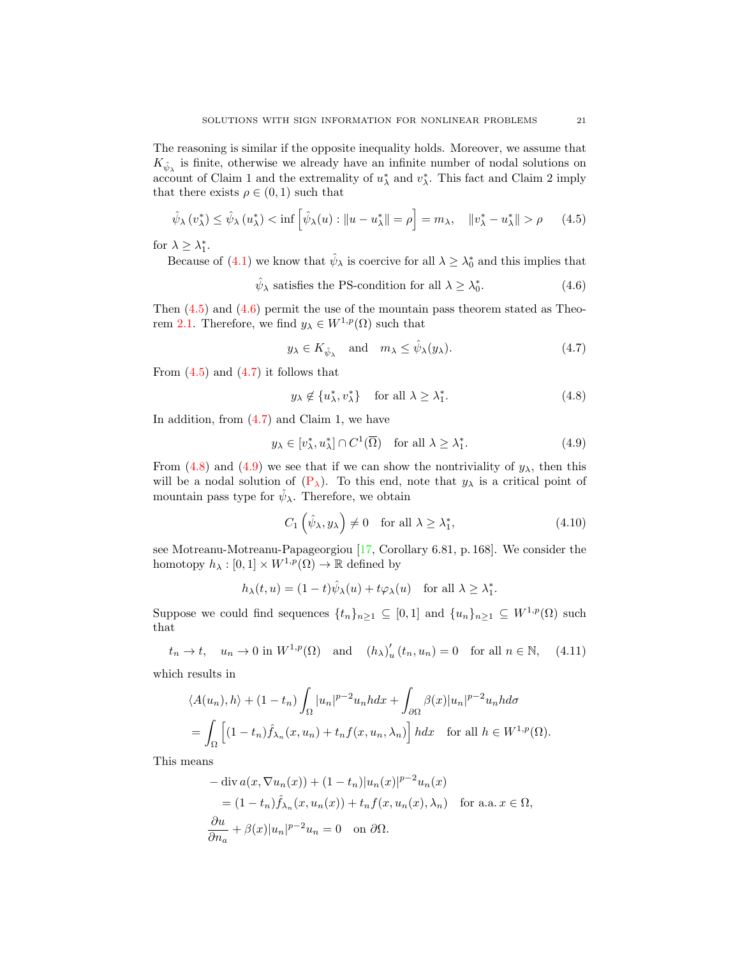The reasoning is similar if the opposite inequality holds. Moreover, we assume that  $K_{\hat{\psi}_{\lambda}}$  is finite, otherwise we already have an infinite number of nodal solutions on account of Claim 1 and the extremality of  $u_{\lambda}^{*}$  and  $v_{\lambda}^{*}$ . This fact and Claim 2 imply that there exists  $\rho \in (0,1)$  such that

$$
\hat{\psi}_{\lambda}(v_{\lambda}^{*}) \leq \hat{\psi}_{\lambda}(u_{\lambda}^{*}) < \inf \left[ \hat{\psi}_{\lambda}(u) : \|u - u_{\lambda}^{*}\| = \rho \right] = m_{\lambda}, \quad \|v_{\lambda}^{*} - u_{\lambda}^{*}\| > \rho \qquad (4.5)
$$

for  $\lambda \geq \lambda_1^*$ .

Because of [\(4.1\)](#page-18-0) we know that  $\hat{\psi}_{\lambda}$  is coercive for all  $\lambda \geq \lambda_0^*$  and this implies that

 $\hat{\psi}_{\lambda}$  satisfies the PS-condition for all  $\lambda \geq \lambda_0^*$  $(4.6)$ 

Then  $(4.5)$  and  $(4.6)$  permit the use of the mountain pass theorem stated as Theo-rem [2.1.](#page-1-0) Therefore, we find  $y_{\lambda} \in W^{1,p}(\Omega)$  such that

<span id="page-20-1"></span><span id="page-20-0"></span>
$$
y_{\lambda} \in K_{\hat{\psi}_{\lambda}}
$$
 and  $m_{\lambda} \le \hat{\psi}_{\lambda}(y_{\lambda}).$  (4.7)

From  $(4.5)$  and  $(4.7)$  it follows that

<span id="page-20-4"></span><span id="page-20-3"></span><span id="page-20-2"></span>
$$
y_{\lambda} \notin \{u_{\lambda}^*, v_{\lambda}^*\} \quad \text{for all } \lambda \ge \lambda_1^*.
$$
 (4.8)

In addition, from [\(4.7\)](#page-20-2) and Claim 1, we have

$$
y_{\lambda} \in [v_{\lambda}^*, u_{\lambda}^*] \cap C^1(\overline{\Omega}) \quad \text{for all } \lambda \ge \lambda_1^*.
$$
 (4.9)

From [\(4.8\)](#page-20-3) and [\(4.9\)](#page-20-4) we see that if we can show the nontriviality of  $y_{\lambda}$ , then this will be a nodal solution of  $(P_\lambda)$ . To this end, note that  $y_\lambda$  is a critical point of mountain pass type for  $\hat{\psi}_{\lambda}$ . Therefore, we obtain

<span id="page-20-6"></span><span id="page-20-5"></span>
$$
C_1\left(\hat{\psi}_\lambda, y_\lambda\right) \neq 0 \quad \text{for all } \lambda \ge \lambda_1^*,\tag{4.10}
$$

see Motreanu-Motreanu-Papageorgiou [\[17,](#page-23-7) Corollary 6.81, p. 168]. We consider the homotopy  $h_{\lambda} : [0,1] \times W^{1,p}(\Omega) \to \mathbb{R}$  defined by

$$
h_{\lambda}(t, u) = (1 - t)\hat{\psi}_{\lambda}(u) + t\varphi_{\lambda}(u) \quad \text{for all } \lambda \ge \lambda_1^*.
$$

Suppose we could find sequences  $\{t_n\}_{n\geq 1} \subseteq [0,1]$  and  $\{u_n\}_{n\geq 1} \subseteq W^{1,p}(\Omega)$  such that

$$
t_n \to t
$$
,  $u_n \to 0$  in  $W^{1,p}(\Omega)$  and  $(h_{\lambda})'_u(t_n, u_n) = 0$  for all  $n \in \mathbb{N}$ , (4.11)

which results in

$$
\langle A(u_n), h \rangle + (1 - t_n) \int_{\Omega} |u_n|^{p-2} u_n h dx + \int_{\partial \Omega} \beta(x) |u_n|^{p-2} u_n h d\sigma
$$
  
= 
$$
\int_{\Omega} \left[ (1 - t_n) \hat{f}_{\lambda_n}(x, u_n) + t_n f(x, u_n, \lambda_n) \right] h dx \quad \text{for all } h \in W^{1, p}(\Omega).
$$

This means

$$
-\operatorname{div} a(x, \nabla u_n(x)) + (1 - t_n)|u_n(x)|^{p-2}u_n(x)
$$
  
=  $(1 - t_n)\hat{f}_{\lambda_n}(x, u_n(x)) + t_nf(x, u_n(x), \lambda_n)$  for a.a.  $x \in \Omega$ ,  

$$
\frac{\partial u}{\partial n_a} + \beta(x)|u_n|^{p-2}u_n = 0 \text{ on } \partial\Omega.
$$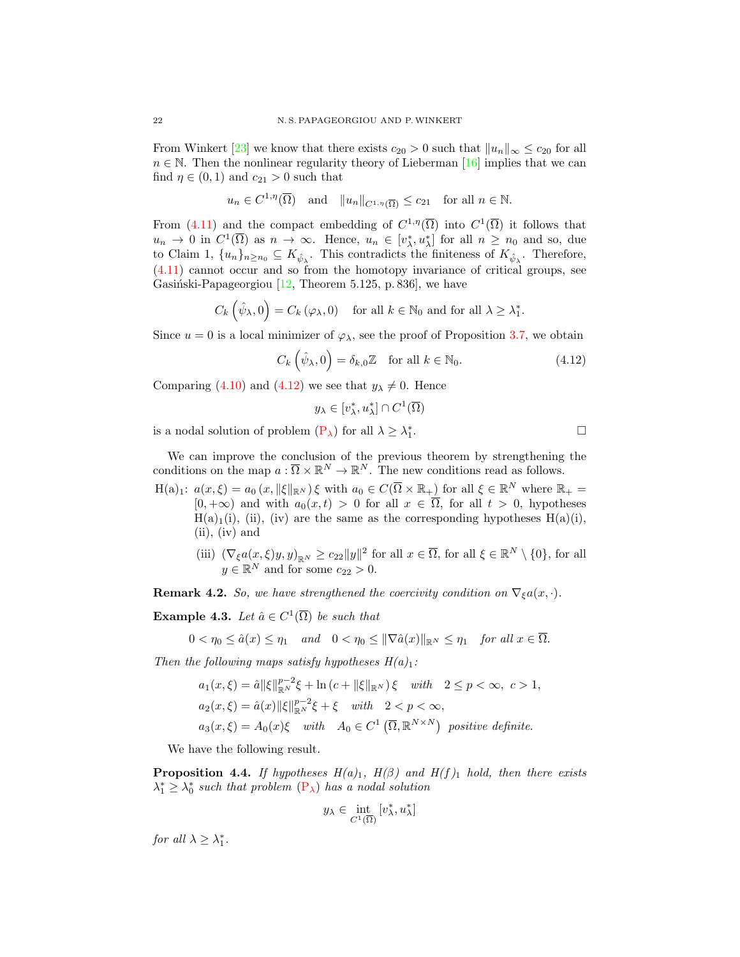From Winkert [\[23\]](#page-23-9) we know that there exists  $c_{20} > 0$  such that  $||u_n||_{\infty} \le c_{20}$  for all  $n \in \mathbb{N}$ . Then the nonlinear regularity theory of Lieberman [\[16\]](#page-23-3) implies that we can find  $\eta \in (0,1)$  and  $c_{21} > 0$  such that

$$
u_n \in C^{1,\eta}(\overline{\Omega})
$$
 and  $||u_n||_{C^{1,\eta}(\overline{\Omega})} \leq c_{21}$  for all  $n \in \mathbb{N}$ .

From [\(4.11\)](#page-20-5) and the compact embedding of  $C^{1,\eta}(\overline{\Omega})$  into  $C^1(\overline{\Omega})$  it follows that  $u_n \to 0$  in  $C^1(\overline{\Omega})$  as  $n \to \infty$ . Hence,  $u_n \in [v_\lambda^*, u_\lambda^*]$  for all  $n \geq n_0$  and so, due to Claim 1,  $\{u_n\}_{n\geq n_0} \subseteq K_{\hat{\psi}_{\lambda}}$ . This contradicts the finiteness of  $K_{\hat{\psi}_{\lambda}}$ . Therefore, [\(4.11\)](#page-20-5) cannot occur and so from the homotopy invariance of critical groups, see Gasiński-Papageorgiou  $[12,$  Theorem 5.125, p. 836], we have

$$
C_k\left(\hat{\psi}_\lambda,0\right) = C_k\left(\varphi_\lambda,0\right) \quad \text{for all } k \in \mathbb{N}_0 \text{ and for all } \lambda \ge \lambda_1^*.
$$

Since  $u = 0$  is a local minimizer of  $\varphi_{\lambda}$ , see the proof of Proposition [3.7,](#page-12-3) we obtain

$$
C_k(\hat{\psi}_{\lambda}, 0) = \delta_{k,0} \mathbb{Z} \quad \text{for all } k \in \mathbb{N}_0. \tag{4.12}
$$

Comparing [\(4.10\)](#page-20-6) and [\(4.12\)](#page-21-0) we see that  $y_{\lambda} \neq 0$ . Hence

$$
y_{\lambda} \in [v_{\lambda}^*, u_{\lambda}^*] \cap C^1(\overline{\Omega})
$$

is a nodal solution of problem  $(P_{\lambda})$  for all  $\lambda \geq \lambda_1^*$ 

<span id="page-21-0"></span>. — Первый процесс в постановки программа в серверном становки производительно становки производительно станов<br>В серверном становки производительно становки производительно становки производительно становки производительн

We can improve the conclusion of the previous theorem by strengthening the conditions on the map  $a: \overline{\Omega} \times \mathbb{R}^N \to \mathbb{R}^N$ . The new conditions read as follows.

 $H(a)_1: a(x,\xi) = a_0(x, \|\xi\|_{\mathbb{R}^N})\xi$  with  $a_0 \in C(\overline{\Omega} \times \mathbb{R}_+)$  for all  $\xi \in \mathbb{R}^N$  where  $\mathbb{R}_+$  $[0, +\infty)$  and with  $a_0(x, t) > 0$  for all  $x \in \overline{\Omega}$ , for all  $t > 0$ , hypotheses  $H(a)_1(i)$ , (ii), (iv) are the same as the corresponding hypotheses  $H(a)(i)$ , (ii), (iv) and

(iii)  $(\nabla_{\xi}a(x,\xi)y,y)_{\mathbb{R}^N}\geq c_{22}||y||^2$  for all  $x\in\overline{\Omega}$ , for all  $\xi\in\mathbb{R}^N\setminus\{0\}$ , for all  $y \in \mathbb{R}^N$  and for some  $c_{22} > 0$ .

**Remark 4.2.** So, we have strengthened the coercivity condition on  $\nabla_{\xi}a(x, \cdot)$ .

**Example 4.3.** Let  $\hat{a} \in C^1(\overline{\Omega})$  be such that

 $0 < \eta_0 \leq \hat{a}(x) \leq \eta_1$  and  $0 < \eta_0 \leq ||\nabla \hat{a}(x)||_{\mathbb{R}^N} \leq \eta_1$  for all  $x \in \overline{\Omega}$ .

Then the following maps satisfy hypotheses  $H(a)_1$ :

$$
a_1(x,\xi) = \hat{a} \|\xi\|_{\mathbb{R}^N}^{p-2}\xi + \ln(c + \|\xi\|_{\mathbb{R}^N})\xi \quad with \quad 2 \le p < \infty, \ c > 1,
$$
  
\n
$$
a_2(x,\xi) = \hat{a}(x) \|\xi\|_{\mathbb{R}^N}^{p-2}\xi + \xi \quad with \quad 2 < p < \infty,
$$
  
\n
$$
a_3(x,\xi) = A_0(x)\xi \quad with \quad A_0 \in C^1(\overline{\Omega}, \mathbb{R}^{N \times N}) \quad positive \ definite.
$$

We have the following result.

**Proposition 4.4.** If hypotheses  $H(a)_1$ ,  $H(\beta)$  and  $H(f)_1$  hold, then there exists  $\lambda_1^* \geq \lambda_0^*$  such that problem  $(P_{\lambda})$  $(P_{\lambda})$  has a nodal solution

$$
y_{\lambda} \in \inf_{C^1(\overline{\Omega})} [v_{\lambda}^*, u_{\lambda}^*]
$$

for all  $\lambda \geq \lambda_1^*$ .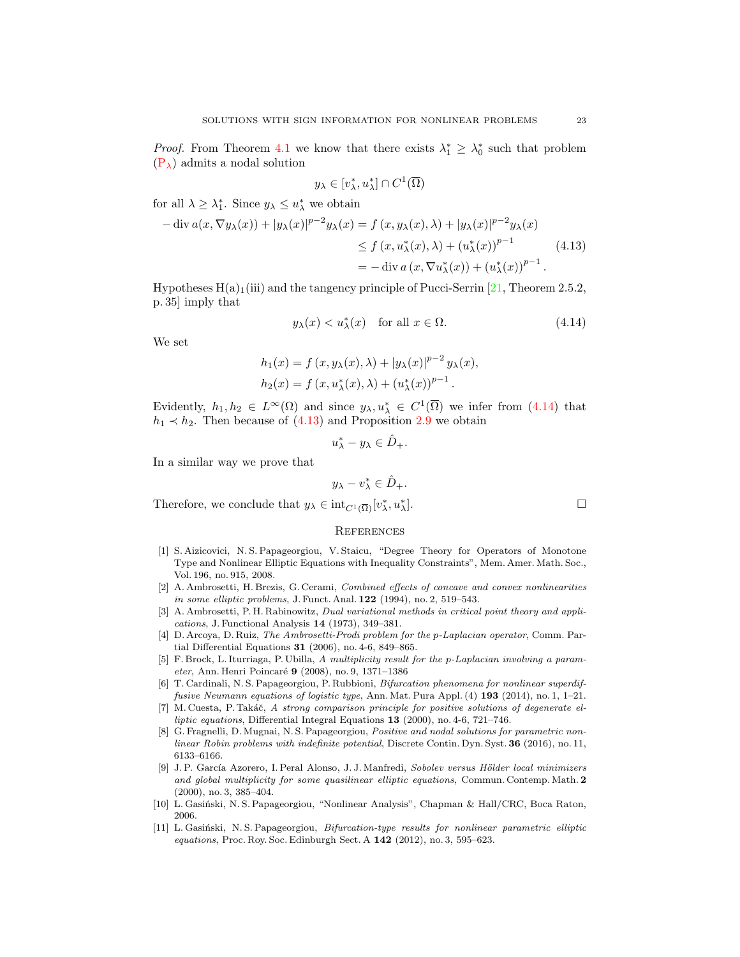*Proof.* From Theorem [4.1](#page-18-1) we know that there exists  $\lambda_1^* \geq \lambda_0^*$  such that problem  $(P_{\lambda})$  $(P_{\lambda})$  admits a nodal solution

<span id="page-22-12"></span>
$$
y_{\lambda} \in [v_{\lambda}^*, u_{\lambda}^*] \cap C^1(\overline{\Omega})
$$

for all  $\lambda \geq \lambda_1^*$ . Since  $y_\lambda \leq u_\lambda^*$  we obtain

$$
-\operatorname{div} a(x, \nabla y_{\lambda}(x)) + |y_{\lambda}(x)|^{p-2} y_{\lambda}(x) = f(x, y_{\lambda}(x), \lambda) + |y_{\lambda}(x)|^{p-2} y_{\lambda}(x)
$$
  
\n
$$
\leq f(x, u_{\lambda}^*(x), \lambda) + (u_{\lambda}^*(x))^{p-1}
$$
  
\n
$$
= -\operatorname{div} a(x, \nabla u_{\lambda}^*(x)) + (u_{\lambda}^*(x))^{p-1}.
$$
\n(4.13)

Hypotheses  $H(a)$ <sub>1</sub>(iii) and the tangency principle of Pucci-Serrin [\[21,](#page-23-13) Theorem 2.5.2, p. 35] imply that

$$
y_{\lambda}(x) < u_{\lambda}^*(x) \quad \text{for all } x \in \Omega. \tag{4.14}
$$

We set

$$
h_1(x) = f(x, y_\lambda(x), \lambda) + |y_\lambda(x)|^{p-2} y_\lambda(x),
$$
  

$$
h_2(x) = f(x, u_\lambda^*(x), \lambda) + (u_\lambda^*(x))^{p-1}.
$$

Evidently,  $h_1, h_2 \in L^{\infty}(\Omega)$  and since  $y_{\lambda}, u_{\lambda}^* \in C^1(\overline{\Omega})$  we infer from [\(4.14\)](#page-22-11) that  $h_1 \prec h_2$ . Then because of [\(4.13\)](#page-22-12) and Proposition [2.9](#page-6-0) we obtain

$$
u_{\lambda}^* - y_{\lambda} \in \hat{D}_+.
$$

In a similar way we prove that

$$
y_{\lambda} - v_{\lambda}^* \in \hat{D}_+.
$$

Therefore, we conclude that  $y_{\lambda} \in \text{int}_{C^1(\overline{\Omega})}[v_{\lambda}^*, u_{\lambda}^*]$ 

#### **REFERENCES**

- <span id="page-22-10"></span>[1] S. Aizicovici, N. S. Papageorgiou, V. Staicu, "Degree Theory for Operators of Monotone Type and Nonlinear Elliptic Equations with Inequality Constraints", Mem. Amer. Math. Soc., Vol. 196, no. 915, 2008.
- <span id="page-22-0"></span>[2] A. Ambrosetti, H. Brezis, G. Cerami, Combined effects of concave and convex nonlinearities in some elliptic problems, J. Funct. Anal.  $122$  (1994), no. 2, 519–543.
- <span id="page-22-6"></span>[3] A. Ambrosetti, P. H. Rabinowitz, Dual variational methods in critical point theory and applications, J. Functional Analysis 14 (1973), 349–381.
- <span id="page-22-8"></span>[4] D. Arcoya, D. Ruiz, The Ambrosetti-Prodi problem for the p-Laplacian operator, Comm. Partial Differential Equations 31 (2006), no. 4-6, 849–865.
- <span id="page-22-1"></span>[5] F. Brock, L. Iturriaga, P. Ubilla, A multiplicity result for the p-Laplacian involving a parameter, Ann. Henri Poincaré 9 (2008), no. 9, 1371–1386
- <span id="page-22-4"></span>[6] T. Cardinali, N. S. Papageorgiou, P. Rubbioni, Bifurcation phenomena for nonlinear superdiffusive Neumann equations of logistic type, Ann. Mat. Pura Appl.  $(4)$  193 (2014), no. 1, 1–21.
- <span id="page-22-9"></span>[7] M. Cuesta, P. Takáč, A strong comparison principle for positive solutions of degenerate elliptic equations, Differential Integral Equations  $13$  (2000), no. 4-6, 721–746.
- <span id="page-22-5"></span>[8] G. Fragnelli, D. Mugnai, N. S. Papageorgiou, Positive and nodal solutions for parametric nonlinear Robin problems with indefinite potential, Discrete Contin. Dyn. Syst. 36 (2016), no. 11, 6133–6166.
- <span id="page-22-2"></span>[9] J. P. García Azorero, I. Peral Alonso, J. J. Manfredi, Sobolev versus Hölder local minimizers and global multiplicity for some quasilinear elliptic equations, Commun. Contemp. Math. 2 (2000), no. 3, 385–404.
- <span id="page-22-7"></span>[10] L. Gasiński, N. S. Papageorgiou, "Nonlinear Analysis", Chapman & Hall/CRC, Boca Raton, 2006.
- <span id="page-22-3"></span>[11] L. Gasiński, N. S. Papageorgiou, Bifurcation-type results for nonlinear parametric elliptic equations, Proc. Roy. Soc. Edinburgh Sect. A 142 (2012), no. 3, 595–623.

<span id="page-22-11"></span>].